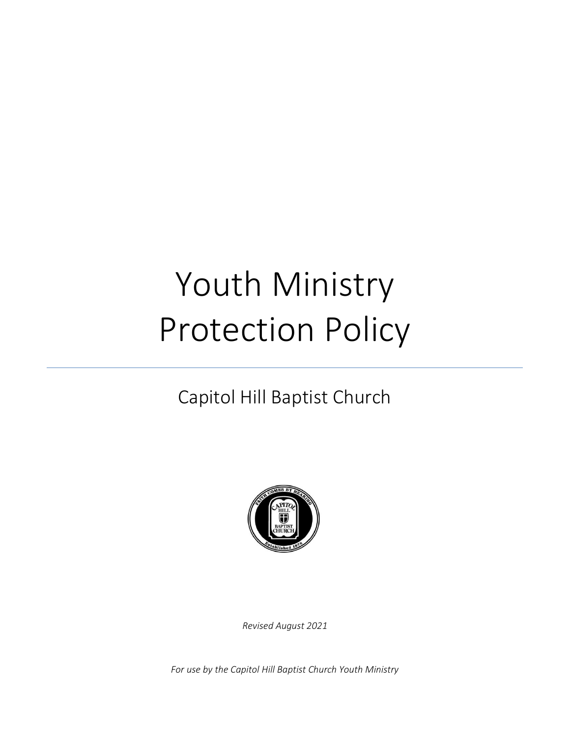# Youth Ministry Protection Policy

## Capitol Hill Baptist Church



*Revised August 2021*

*For use by the Capitol Hill Baptist Church Youth Ministry*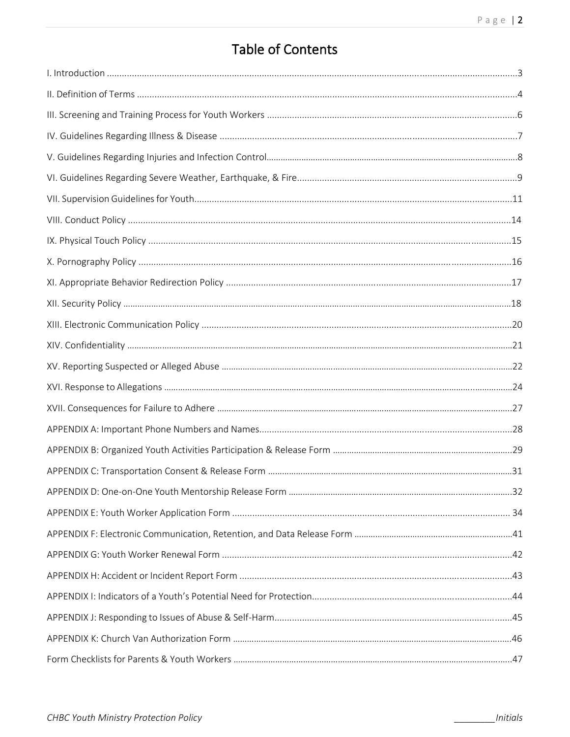### **Table of Contents**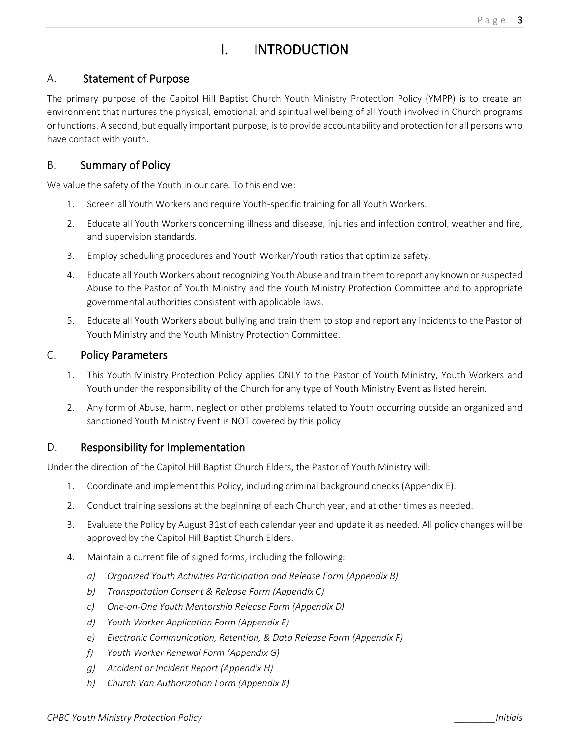### I. INTRODUCTION

### A. Statement of Purpose

The primary purpose of the Capitol Hill Baptist Church Youth Ministry Protection Policy (YMPP) is to create an environment that nurtures the physical, emotional, and spiritual wellbeing of all Youth involved in Church programs or functions. A second, but equally important purpose, is to provide accountability and protection for all persons who have contact with youth.

### B. Summary of Policy

We value the safety of the Youth in our care. To this end we:

- 1. Screen all Youth Workers and require Youth-specific training for all Youth Workers.
- 2. Educate all Youth Workers concerning illness and disease, injuries and infection control, weather and fire, and supervision standards.
- 3. Employ scheduling procedures and Youth Worker/Youth ratios that optimize safety.
- 4. Educate all Youth Workers about recognizing Youth Abuse and train them to report any known or suspected Abuse to the Pastor of Youth Ministry and the Youth Ministry Protection Committee and to appropriate governmental authorities consistent with applicable laws.
- 5. Educate all Youth Workers about bullying and train them to stop and report any incidents to the Pastor of Youth Ministry and the Youth Ministry Protection Committee.

### C. Policy Parameters

- 1. This Youth Ministry Protection Policy applies ONLY to the Pastor of Youth Ministry, Youth Workers and Youth under the responsibility of the Church for any type of Youth Ministry Event as listed herein.
- 2. Any form of Abuse, harm, neglect or other problems related to Youth occurring outside an organized and sanctioned Youth Ministry Event is NOT covered by this policy.

### D. Responsibility for Implementation

Under the direction of the Capitol Hill Baptist Church Elders, the Pastor of Youth Ministry will:

- 1. Coordinate and implement this Policy, including criminal background checks (Appendix E).
- 2. Conduct training sessions at the beginning of each Church year, and at other times as needed.
- 3. Evaluate the Policy by August 31st of each calendar year and update it as needed. All policy changes will be approved by the Capitol Hill Baptist Church Elders.
- 4. Maintain a current file of signed forms, including the following:
	- *a) Organized Youth Activities Participation and Release Form (Appendix B)*
	- *b) Transportation Consent & Release Form (Appendix C)*
	- *c) One-on-One Youth Mentorship Release Form (Appendix D)*
	- *d) Youth Worker Application Form (Appendix E)*
	- *e) Electronic Communication, Retention, & Data Release Form (Appendix F)*
	- *f) Youth Worker Renewal Form (Appendix G)*
	- *g) Accident or Incident Report (Appendix H)*
	- *h) Church Van Authorization Form (Appendix K)*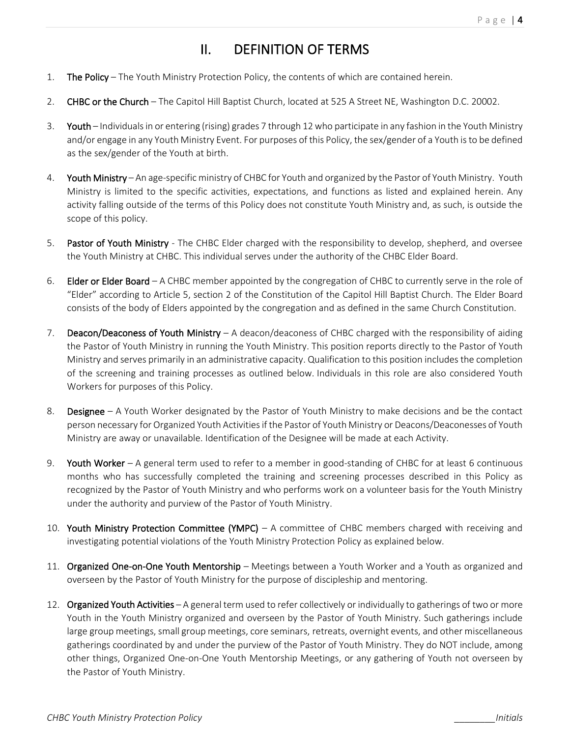### II. DEFINITION OF TERMS

- 1. The Policy The Youth Ministry Protection Policy, the contents of which are contained herein.
- 2. CHBC or the Church The Capitol Hill Baptist Church, located at 525 A Street NE, Washington D.C. 20002.
- 3. Youth Individuals in or entering (rising) grades 7 through 12 who participate in any fashion in the Youth Ministry and/or engage in any Youth Ministry Event. For purposes of this Policy, the sex/gender of a Youth is to be defined as the sex/gender of the Youth at birth.
- 4. Youth Ministry An age-specific ministry of CHBC for Youth and organized by the Pastor of Youth Ministry. Youth Ministry is limited to the specific activities, expectations, and functions as listed and explained herein. Any activity falling outside of the terms of this Policy does not constitute Youth Ministry and, as such, is outside the scope of this policy.
- 5. Pastor of Youth Ministry The CHBC Elder charged with the responsibility to develop, shepherd, and oversee the Youth Ministry at CHBC. This individual serves under the authority of the CHBC Elder Board.
- 6. Elder or Elder Board A CHBC member appointed by the congregation of CHBC to currently serve in the role of "Elder" according to Article 5, section 2 of the Constitution of the Capitol Hill Baptist Church. The Elder Board consists of the body of Elders appointed by the congregation and as defined in the same Church Constitution.
- 7. Deacon/Deaconess of Youth Ministry A deacon/deaconess of CHBC charged with the responsibility of aiding the Pastor of Youth Ministry in running the Youth Ministry. This position reports directly to the Pastor of Youth Ministry and serves primarily in an administrative capacity. Qualification to this position includes the completion of the screening and training processes as outlined below. Individuals in this role are also considered Youth Workers for purposes of this Policy.
- 8. Designee A Youth Worker designated by the Pastor of Youth Ministry to make decisions and be the contact person necessary for Organized Youth Activities if the Pastor of Youth Ministry or Deacons/Deaconesses of Youth Ministry are away or unavailable. Identification of the Designee will be made at each Activity.
- 9. Youth Worker A general term used to refer to a member in good-standing of CHBC for at least 6 continuous months who has successfully completed the training and screening processes described in this Policy as recognized by the Pastor of Youth Ministry and who performs work on a volunteer basis for the Youth Ministry under the authority and purview of the Pastor of Youth Ministry.
- 10. Youth Ministry Protection Committee (YMPC) A committee of CHBC members charged with receiving and investigating potential violations of the Youth Ministry Protection Policy as explained below.
- 11. Organized One-on-One Youth Mentorship Meetings between a Youth Worker and a Youth as organized and overseen by the Pastor of Youth Ministry for the purpose of discipleship and mentoring.
- 12. Organized Youth Activities A general term used to refer collectively or individually to gatherings of two or more Youth in the Youth Ministry organized and overseen by the Pastor of Youth Ministry. Such gatherings include large group meetings, small group meetings, core seminars, retreats, overnight events, and other miscellaneous gatherings coordinated by and under the purview of the Pastor of Youth Ministry. They do NOT include, among other things, Organized One-on-One Youth Mentorship Meetings, or any gathering of Youth not overseen by the Pastor of Youth Ministry.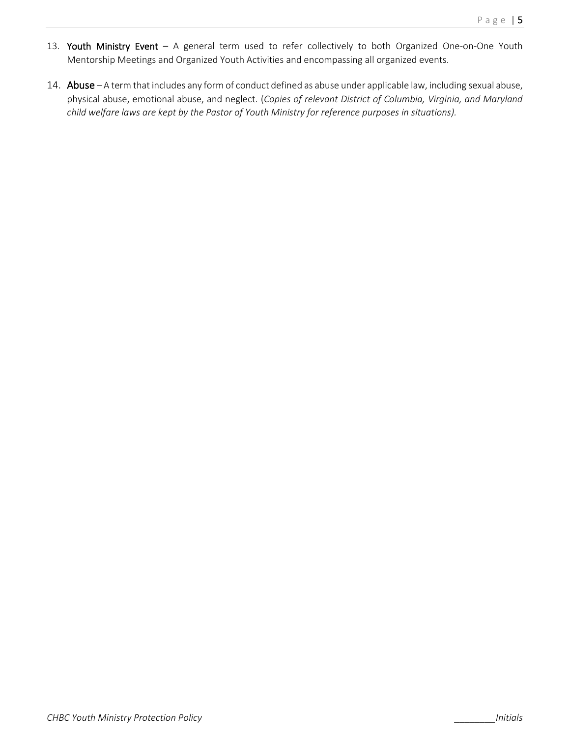- 13. Youth Ministry Event A general term used to refer collectively to both Organized One-on-One Youth Mentorship Meetings and Organized Youth Activities and encompassing all organized events.
- 14. Abuse A term that includes any form of conduct defined as abuse under applicable law, including sexual abuse, physical abuse, emotional abuse, and neglect. (*Copies of relevant District of Columbia, Virginia, and Maryland child welfare laws are kept by the Pastor of Youth Ministry for reference purposes in situations).*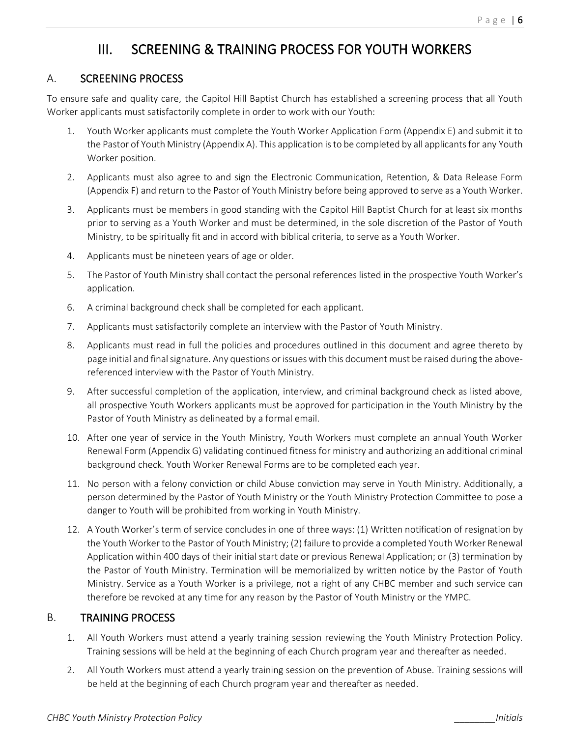### III. SCREENING & TRAINING PROCESS FOR YOUTH WORKERS

### A. SCREENING PROCESS

To ensure safe and quality care, the Capitol Hill Baptist Church has established a screening process that all Youth Worker applicants must satisfactorily complete in order to work with our Youth:

- 1. Youth Worker applicants must complete the Youth Worker Application Form (Appendix E) and submit it to the Pastor of Youth Ministry (Appendix A). This application is to be completed by all applicants for any Youth Worker position.
- 2. Applicants must also agree to and sign the Electronic Communication, Retention, & Data Release Form (Appendix F) and return to the Pastor of Youth Ministry before being approved to serve as a Youth Worker.
- 3. Applicants must be members in good standing with the Capitol Hill Baptist Church for at least six months prior to serving as a Youth Worker and must be determined, in the sole discretion of the Pastor of Youth Ministry, to be spiritually fit and in accord with biblical criteria, to serve as a Youth Worker.
- 4. Applicants must be nineteen years of age or older.
- 5. The Pastor of Youth Ministry shall contact the personal references listed in the prospective Youth Worker's application.
- 6. A criminal background check shall be completed for each applicant.
- 7. Applicants must satisfactorily complete an interview with the Pastor of Youth Ministry.
- 8. Applicants must read in full the policies and procedures outlined in this document and agree thereto by page initial and final signature. Any questions or issues with this document must be raised during the abovereferenced interview with the Pastor of Youth Ministry.
- 9. After successful completion of the application, interview, and criminal background check as listed above, all prospective Youth Workers applicants must be approved for participation in the Youth Ministry by the Pastor of Youth Ministry as delineated by a formal email.
- 10. After one year of service in the Youth Ministry, Youth Workers must complete an annual Youth Worker Renewal Form (Appendix G) validating continued fitness for ministry and authorizing an additional criminal background check. Youth Worker Renewal Forms are to be completed each year.
- 11. No person with a felony conviction or child Abuse conviction may serve in Youth Ministry. Additionally, a person determined by the Pastor of Youth Ministry or the Youth Ministry Protection Committee to pose a danger to Youth will be prohibited from working in Youth Ministry.
- 12. A Youth Worker's term of service concludes in one of three ways: (1) Written notification of resignation by the Youth Worker to the Pastor of Youth Ministry; (2) failure to provide a completed Youth Worker Renewal Application within 400 days of their initial start date or previous Renewal Application; or (3) termination by the Pastor of Youth Ministry. Termination will be memorialized by written notice by the Pastor of Youth Ministry. Service as a Youth Worker is a privilege, not a right of any CHBC member and such service can therefore be revoked at any time for any reason by the Pastor of Youth Ministry or the YMPC.

### B. TRAINING PROCESS

- 1. All Youth Workers must attend a yearly training session reviewing the Youth Ministry Protection Policy. Training sessions will be held at the beginning of each Church program year and thereafter as needed.
- 2. All Youth Workers must attend a yearly training session on the prevention of Abuse. Training sessions will be held at the beginning of each Church program year and thereafter as needed.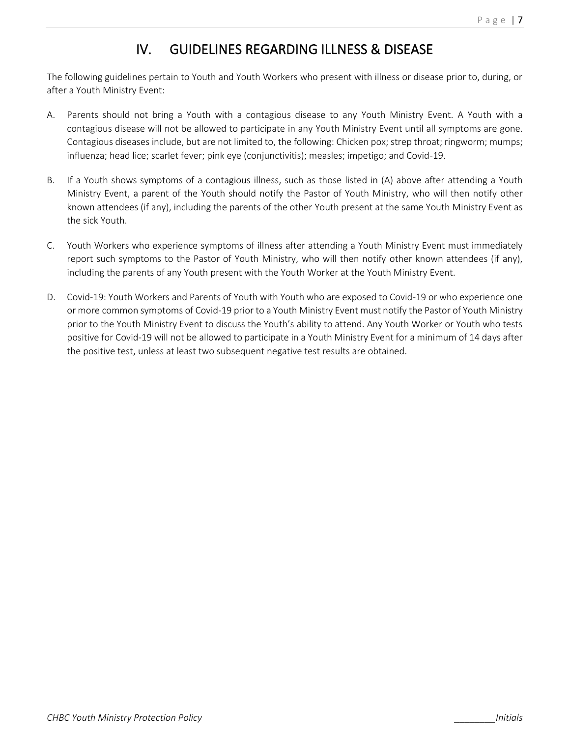### IV. GUIDELINES REGARDING ILLNESS & DISEASE

The following guidelines pertain to Youth and Youth Workers who present with illness or disease prior to, during, or after a Youth Ministry Event:

- A. Parents should not bring a Youth with a contagious disease to any Youth Ministry Event. A Youth with a contagious disease will not be allowed to participate in any Youth Ministry Event until all symptoms are gone. Contagious diseases include, but are not limited to, the following: Chicken pox; strep throat; ringworm; mumps; influenza; head lice; scarlet fever; pink eye (conjunctivitis); measles; impetigo; and Covid-19.
- B. If a Youth shows symptoms of a contagious illness, such as those listed in (A) above after attending a Youth Ministry Event, a parent of the Youth should notify the Pastor of Youth Ministry, who will then notify other known attendees (if any), including the parents of the other Youth present at the same Youth Ministry Event as the sick Youth.
- C. Youth Workers who experience symptoms of illness after attending a Youth Ministry Event must immediately report such symptoms to the Pastor of Youth Ministry, who will then notify other known attendees (if any), including the parents of any Youth present with the Youth Worker at the Youth Ministry Event.
- D. Covid-19: Youth Workers and Parents of Youth with Youth who are exposed to Covid-19 or who experience one or more common symptoms of Covid-19 prior to a Youth Ministry Event must notify the Pastor of Youth Ministry prior to the Youth Ministry Event to discuss the Youth's ability to attend. Any Youth Worker or Youth who tests positive for Covid-19 will not be allowed to participate in a Youth Ministry Event for a minimum of 14 days after the positive test, unless at least two subsequent negative test results are obtained.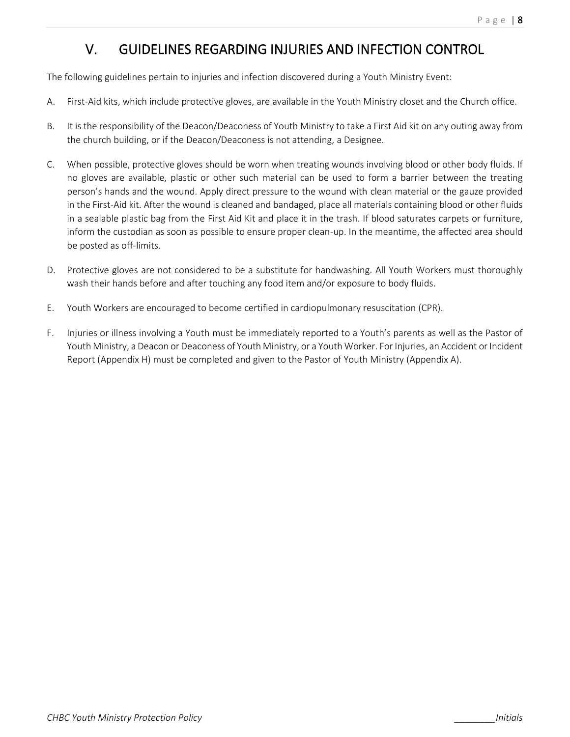### V. GUIDELINES REGARDING INJURIES AND INFECTION CONTROL

The following guidelines pertain to injuries and infection discovered during a Youth Ministry Event:

- A. First-Aid kits, which include protective gloves, are available in the Youth Ministry closet and the Church office.
- B. It is the responsibility of the Deacon/Deaconess of Youth Ministry to take a First Aid kit on any outing away from the church building, or if the Deacon/Deaconess is not attending, a Designee.
- C. When possible, protective gloves should be worn when treating wounds involving blood or other body fluids. If no gloves are available, plastic or other such material can be used to form a barrier between the treating person's hands and the wound. Apply direct pressure to the wound with clean material or the gauze provided in the First-Aid kit. After the wound is cleaned and bandaged, place all materials containing blood or other fluids in a sealable plastic bag from the First Aid Kit and place it in the trash. If blood saturates carpets or furniture, inform the custodian as soon as possible to ensure proper clean-up. In the meantime, the affected area should be posted as off-limits.
- D. Protective gloves are not considered to be a substitute for handwashing. All Youth Workers must thoroughly wash their hands before and after touching any food item and/or exposure to body fluids.
- E. Youth Workers are encouraged to become certified in cardiopulmonary resuscitation (CPR).
- F. Injuries or illness involving a Youth must be immediately reported to a Youth's parents as well as the Pastor of Youth Ministry, a Deacon or Deaconess of Youth Ministry, or a Youth Worker. For Injuries, an Accident or Incident Report (Appendix H) must be completed and given to the Pastor of Youth Ministry (Appendix A).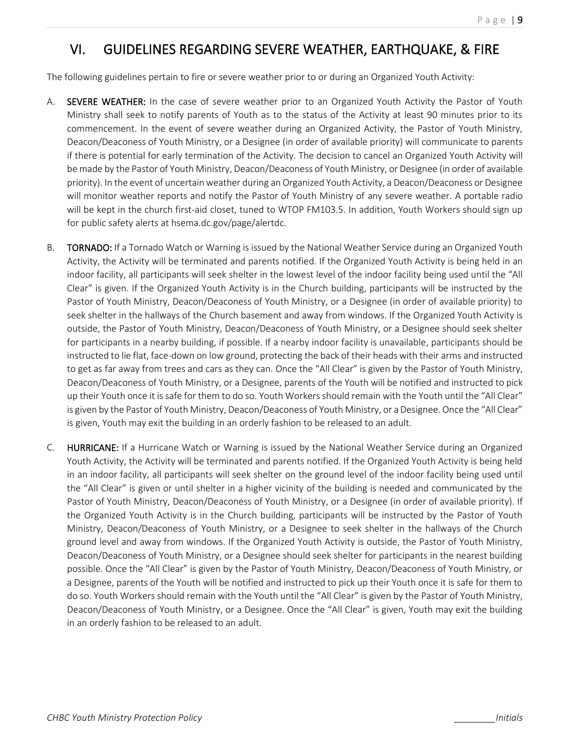### VI. GUIDELINES REGARDING SEVERE WEATHER, EARTHQUAKE, & FIRE

The following guidelines pertain to fire or severe weather prior to or during an Organized Youth Activity:

- A. SEVERE WEATHER: In the case of severe weather prior to an Organized Youth Activity the Pastor of Youth Ministry shall seek to notify parents of Youth as to the status of the Activity at least 90 minutes prior to its commencement. In the event of severe weather during an Organized Activity, the Pastor of Youth Ministry, Deacon/Deaconess of Youth Ministry, or a Designee (in order of available priority) will communicate to parents if there is potential for early termination of the Activity. The decision to cancel an Organized Youth Activity will be made by the Pastor of Youth Ministry, Deacon/Deaconess of Youth Ministry, or Designee (in order of available priority). In the event of uncertain weather during an Organized Youth Activity, a Deacon/Deaconess or Designee will monitor weather reports and notify the Pastor of Youth Ministry of any severe weather. A portable radio will be kept in the church first-aid closet, tuned to WTOP FM103.5. In addition, Youth Workers should sign up for public safety alerts at hsema.dc.gov/page/alertdc.
- B. TORNADO: If a Tornado Watch or Warning is issued by the National Weather Service during an Organized Youth Activity, the Activity will be terminated and parents notified. If the Organized Youth Activity is being held in an indoor facility, all participants will seek shelter in the lowest level of the indoor facility being used until the "All Clear" is given. If the Organized Youth Activity is in the Church building, participants will be instructed by the Pastor of Youth Ministry, Deacon/Deaconess of Youth Ministry, or a Designee (in order of available priority) to seek shelter in the hallways of the Church basement and away from windows. If the Organized Youth Activity is outside, the Pastor of Youth Ministry, Deacon/Deaconess of Youth Ministry, or a Designee should seek shelter for participants in a nearby building, if possible. If a nearby indoor facility is unavailable, participants should be instructed to lie flat, face-down on low ground, protecting the back of their heads with their arms and instructed to get as far away from trees and cars as they can. Once the "All Clear" is given by the Pastor of Youth Ministry, Deacon/Deaconess of Youth Ministry, or a Designee, parents of the Youth will be notified and instructed to pick up their Youth once it is safe for them to do so. Youth Workers should remain with the Youth until the "All Clear" is given by the Pastor of Youth Ministry, Deacon/Deaconess of Youth Ministry, or a Designee. Once the "All Clear" is given, Youth may exit the building in an orderly fashion to be released to an adult.
- C. HURRICANE: If a Hurricane Watch or Warning is issued by the National Weather Service during an Organized Youth Activity, the Activity will be terminated and parents notified. If the Organized Youth Activity is being held in an indoor facility, all participants will seek shelter on the ground level of the indoor facility being used until the "All Clear" is given or until shelter in a higher vicinity of the building is needed and communicated by the Pastor of Youth Ministry, Deacon/Deaconess of Youth Ministry, or a Designee (in order of available priority). If the Organized Youth Activity is in the Church building, participants will be instructed by the Pastor of Youth Ministry, Deacon/Deaconess of Youth Ministry, or a Designee to seek shelter in the hallways of the Church ground level and away from windows. If the Organized Youth Activity is outside, the Pastor of Youth Ministry, Deacon/Deaconess of Youth Ministry, or a Designee should seek shelter for participants in the nearest building possible. Once the "All Clear" is given by the Pastor of Youth Ministry, Deacon/Deaconess of Youth Ministry, or a Designee, parents of the Youth will be notified and instructed to pick up their Youth once it is safe for them to do so. Youth Workers should remain with the Youth until the "All Clear" is given by the Pastor of Youth Ministry, Deacon/Deaconess of Youth Ministry, or a Designee. Once the "All Clear" is given, Youth may exit the building in an orderly fashion to be released to an adult.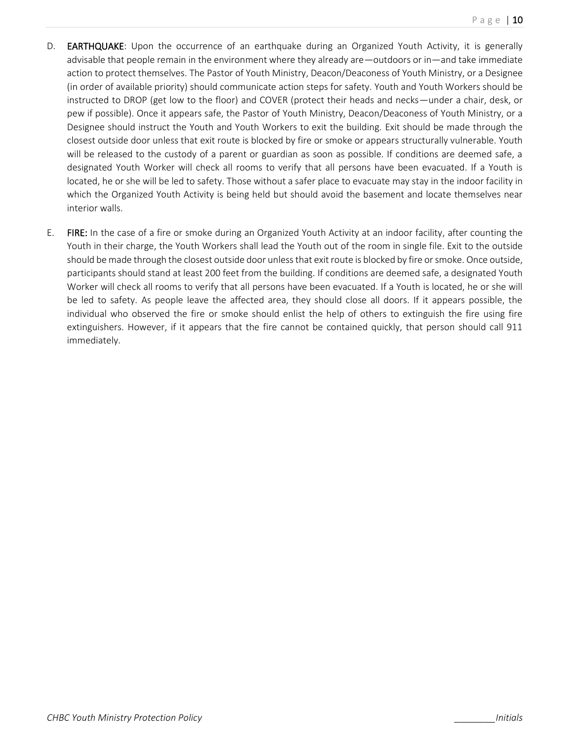- D. **EARTHQUAKE:** Upon the occurrence of an earthquake during an Organized Youth Activity, it is generally advisable that people remain in the environment where they already are—outdoors or in—and take immediate action to protect themselves. The Pastor of Youth Ministry, Deacon/Deaconess of Youth Ministry, or a Designee (in order of available priority) should communicate action steps for safety. Youth and Youth Workers should be instructed to DROP (get low to the floor) and COVER (protect their heads and necks—under a chair, desk, or pew if possible). Once it appears safe, the Pastor of Youth Ministry, Deacon/Deaconess of Youth Ministry, or a Designee should instruct the Youth and Youth Workers to exit the building. Exit should be made through the closest outside door unless that exit route is blocked by fire or smoke or appears structurally vulnerable. Youth will be released to the custody of a parent or guardian as soon as possible. If conditions are deemed safe, a designated Youth Worker will check all rooms to verify that all persons have been evacuated. If a Youth is located, he or she will be led to safety. Those without a safer place to evacuate may stay in the indoor facility in which the Organized Youth Activity is being held but should avoid the basement and locate themselves near interior walls.
- E. FIRE: In the case of a fire or smoke during an Organized Youth Activity at an indoor facility, after counting the Youth in their charge, the Youth Workers shall lead the Youth out of the room in single file. Exit to the outside should be made through the closest outside door unless that exit route is blocked by fire or smoke. Once outside, participants should stand at least 200 feet from the building. If conditions are deemed safe, a designated Youth Worker will check all rooms to verify that all persons have been evacuated. If a Youth is located, he or she will be led to safety. As people leave the affected area, they should close all doors. If it appears possible, the individual who observed the fire or smoke should enlist the help of others to extinguish the fire using fire extinguishers. However, if it appears that the fire cannot be contained quickly, that person should call 911 immediately.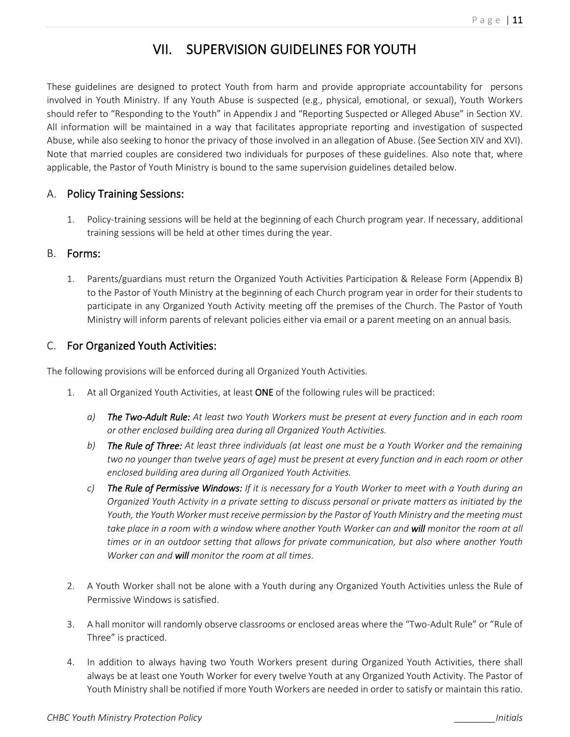### VII. SUPERVISION GUIDELINES FOR YOUTH

These guidelines are designed to protect Youth from harm and provide appropriate accountability for persons involved in Youth Ministry. If any Youth Abuse is suspected (e.g., physical, emotional, or sexual), Youth Workers should refer to "Responding to the Youth" in Appendix J and "Reporting Suspected or Alleged Abuse" in Section XV. All information will be maintained in a way that facilitates appropriate reporting and investigation of suspected Abuse, while also seeking to honor the privacy of those involved in an allegation of Abuse. (See Section XIV and XVI). Note that married couples are considered two individuals for purposes of these guidelines. Also note that, where applicable, the Pastor of Youth Ministry is bound to the same supervision guidelines detailed below.

### A. Policy Training Sessions:

1. Policy-training sessions will be held at the beginning of each Church program year. If necessary, additional training sessions will be held at other times during the year.

### B. Forms:

1. Parents/guardians must return the Organized Youth Activities Participation & Release Form (Appendix B) to the Pastor of Youth Ministry at the beginning of each Church program year in order for their students to participate in any Organized Youth Activity meeting off the premises of the Church. The Pastor of Youth Ministry will inform parents of relevant policies either via email or a parent meeting on an annual basis.

### C. For Organized Youth Activities:

The following provisions will be enforced during all Organized Youth Activities.

- 1. At all Organized Youth Activities, at least ONE of the following rules will be practiced:
	- *a) The Two-Adult Rule: At least two Youth Workers must be present at every function and in each room or other enclosed building area during all Organized Youth Activities.*
	- *b) The Rule of Three: At least three individuals (at least one must be a Youth Worker and the remaining two no younger than twelve years of age) must be present at every function and in each room or other enclosed building area during all Organized Youth Activities.*
	- *c) The Rule of Permissive Windows: If it is necessary for a Youth Worker to meet with a Youth during an Organized Youth Activity in a private setting to discuss personal or private matters as initiated by the Youth, the Youth Worker must receive permission by the Pastor of Youth Ministry and the meeting must take place in a room with a window where another Youth Worker can and will monitor the room at all times or in an outdoor setting that allows for private communication, but also where another Youth Worker can and will monitor the room at all times.*
- 2. A Youth Worker shall not be alone with a Youth during any Organized Youth Activities unless the Rule of Permissive Windows is satisfied.
- 3. A hall monitor will randomly observe classrooms or enclosed areas where the "Two-Adult Rule" or "Rule of Three" is practiced.
- 4. In addition to always having two Youth Workers present during Organized Youth Activities, there shall always be at least one Youth Worker for every twelve Youth at any Organized Youth Activity. The Pastor of Youth Ministry shall be notified if more Youth Workers are needed in order to satisfy or maintain this ratio.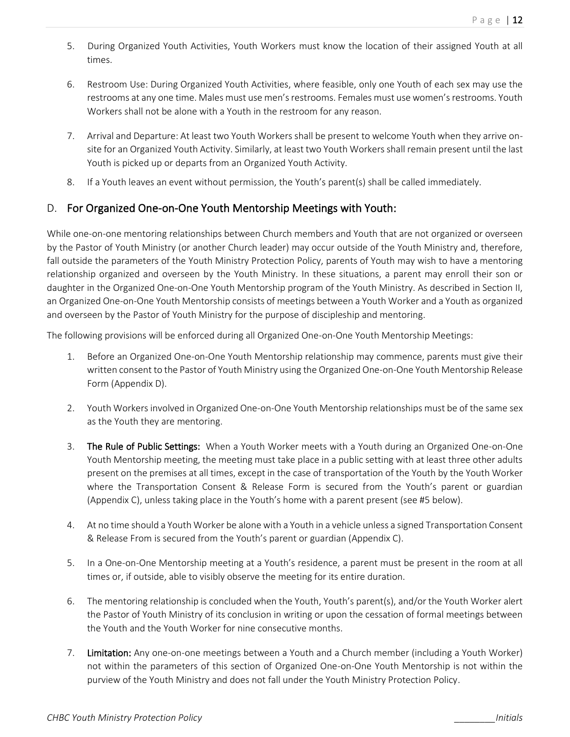- 5. During Organized Youth Activities, Youth Workers must know the location of their assigned Youth at all times.
- 6. Restroom Use: During Organized Youth Activities, where feasible, only one Youth of each sex may use the restrooms at any one time. Males must use men's restrooms. Females must use women's restrooms. Youth Workers shall not be alone with a Youth in the restroom for any reason.
- 7. Arrival and Departure: At least two Youth Workers shall be present to welcome Youth when they arrive onsite for an Organized Youth Activity. Similarly, at least two Youth Workers shall remain present until the last Youth is picked up or departs from an Organized Youth Activity.
- 8. If a Youth leaves an event without permission, the Youth's parent(s) shall be called immediately.

### D. For Organized One-on-One Youth Mentorship Meetings with Youth:

While one-on-one mentoring relationships between Church members and Youth that are not organized or overseen by the Pastor of Youth Ministry (or another Church leader) may occur outside of the Youth Ministry and, therefore, fall outside the parameters of the Youth Ministry Protection Policy, parents of Youth may wish to have a mentoring relationship organized and overseen by the Youth Ministry. In these situations, a parent may enroll their son or daughter in the Organized One-on-One Youth Mentorship program of the Youth Ministry. As described in Section II, an Organized One-on-One Youth Mentorship consists of meetings between a Youth Worker and a Youth as organized and overseen by the Pastor of Youth Ministry for the purpose of discipleship and mentoring.

The following provisions will be enforced during all Organized One-on-One Youth Mentorship Meetings:

- 1. Before an Organized One-on-One Youth Mentorship relationship may commence, parents must give their written consent to the Pastor of Youth Ministry using the Organized One-on-One Youth Mentorship Release Form (Appendix D).
- 2. Youth Workers involved in Organized One-on-One Youth Mentorship relationships must be of the same sex as the Youth they are mentoring.
- 3. The Rule of Public Settings: When a Youth Worker meets with a Youth during an Organized One-on-One Youth Mentorship meeting, the meeting must take place in a public setting with at least three other adults present on the premises at all times, except in the case of transportation of the Youth by the Youth Worker where the Transportation Consent & Release Form is secured from the Youth's parent or guardian (Appendix C), unless taking place in the Youth's home with a parent present (see #5 below).
- 4. At no time should a Youth Worker be alone with a Youth in a vehicle unless a signed Transportation Consent & Release From is secured from the Youth's parent or guardian (Appendix C).
- 5. In a One-on-One Mentorship meeting at a Youth's residence, a parent must be present in the room at all times or, if outside, able to visibly observe the meeting for its entire duration.
- 6. The mentoring relationship is concluded when the Youth, Youth's parent(s), and/or the Youth Worker alert the Pastor of Youth Ministry of its conclusion in writing or upon the cessation of formal meetings between the Youth and the Youth Worker for nine consecutive months.
- 7. Limitation: Any one-on-one meetings between a Youth and a Church member (including a Youth Worker) not within the parameters of this section of Organized One-on-One Youth Mentorship is not within the purview of the Youth Ministry and does not fall under the Youth Ministry Protection Policy.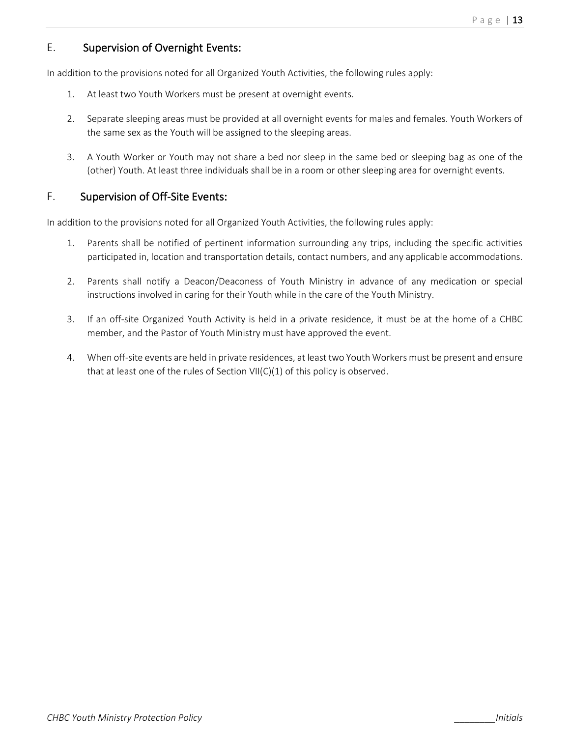### E. Supervision of Overnight Events:

In addition to the provisions noted for all Organized Youth Activities, the following rules apply:

- 1. At least two Youth Workers must be present at overnight events.
- 2. Separate sleeping areas must be provided at all overnight events for males and females. Youth Workers of the same sex as the Youth will be assigned to the sleeping areas.
- 3. A Youth Worker or Youth may not share a bed nor sleep in the same bed or sleeping bag as one of the (other) Youth. At least three individuals shall be in a room or other sleeping area for overnight events.

### F. Supervision of Off-Site Events:

In addition to the provisions noted for all Organized Youth Activities, the following rules apply:

- 1. Parents shall be notified of pertinent information surrounding any trips, including the specific activities participated in, location and transportation details, contact numbers, and any applicable accommodations.
- 2. Parents shall notify a Deacon/Deaconess of Youth Ministry in advance of any medication or special instructions involved in caring for their Youth while in the care of the Youth Ministry.
- 3. If an off-site Organized Youth Activity is held in a private residence, it must be at the home of a CHBC member, and the Pastor of Youth Ministry must have approved the event.
- 4. When off-site events are held in private residences, at least two Youth Workers must be present and ensure that at least one of the rules of Section VII(C)(1) of this policy is observed.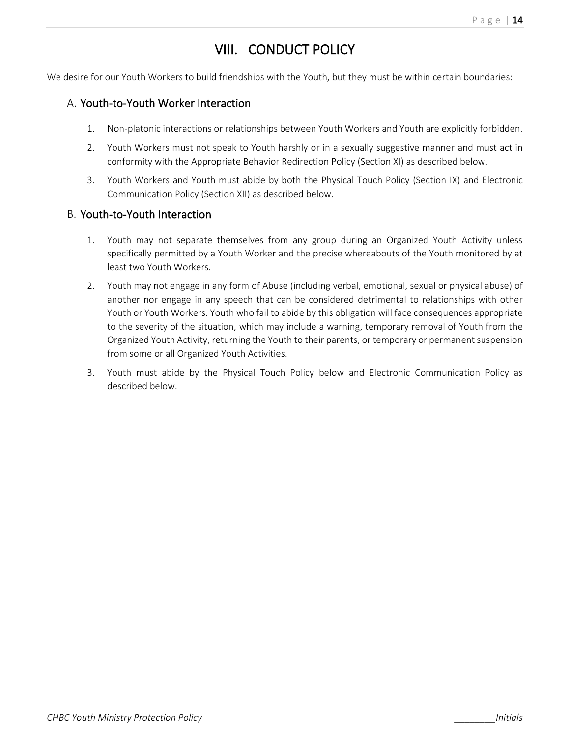### VIII. CONDUCT POLICY

We desire for our Youth Workers to build friendships with the Youth, but they must be within certain boundaries:

#### A. Youth-to-Youth Worker Interaction

- 1. Non-platonic interactions or relationships between Youth Workers and Youth are explicitly forbidden.
- 2. Youth Workers must not speak to Youth harshly or in a sexually suggestive manner and must act in conformity with the Appropriate Behavior Redirection Policy (Section XI) as described below.
- 3. Youth Workers and Youth must abide by both the Physical Touch Policy (Section IX) and Electronic Communication Policy (Section XII) as described below.

#### B. Youth-to-Youth Interaction

- 1. Youth may not separate themselves from any group during an Organized Youth Activity unless specifically permitted by a Youth Worker and the precise whereabouts of the Youth monitored by at least two Youth Workers.
- 2. Youth may not engage in any form of Abuse (including verbal, emotional, sexual or physical abuse) of another nor engage in any speech that can be considered detrimental to relationships with other Youth or Youth Workers. Youth who fail to abide by this obligation will face consequences appropriate to the severity of the situation, which may include a warning, temporary removal of Youth from the Organized Youth Activity, returning the Youth to their parents, or temporary or permanent suspension from some or all Organized Youth Activities.
- 3. Youth must abide by the Physical Touch Policy below and Electronic Communication Policy as described below.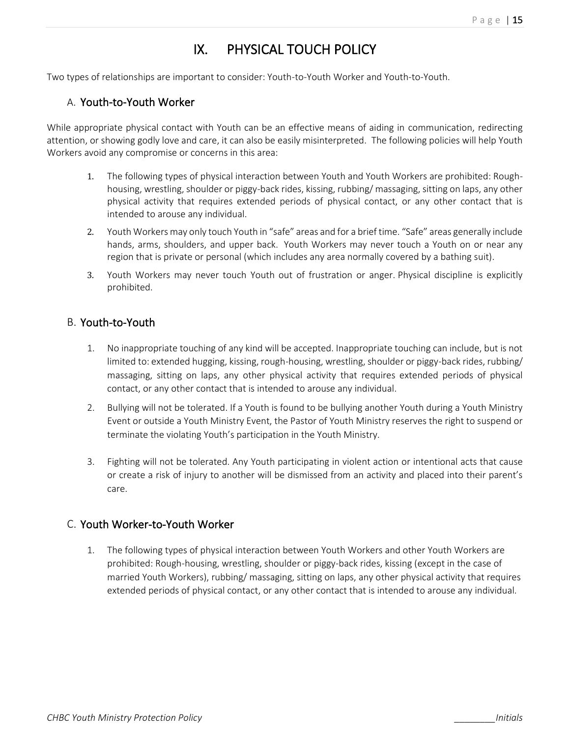### IX. PHYSICAL TOUCH POLICY

Two types of relationships are important to consider: Youth-to-Youth Worker and Youth-to-Youth.

#### A. Youth-to-Youth Worker

While appropriate physical contact with Youth can be an effective means of aiding in communication, redirecting attention, or showing godly love and care, it can also be easily misinterpreted. The following policies will help Youth Workers avoid any compromise or concerns in this area:

- 1. The following types of physical interaction between Youth and Youth Workers are prohibited: Roughhousing, wrestling, shoulder or piggy-back rides, kissing, rubbing/ massaging, sitting on laps, any other physical activity that requires extended periods of physical contact, or any other contact that is intended to arouse any individual.
- 2. Youth Workers may only touch Youth in "safe" areas and for a brief time. "Safe" areas generally include hands, arms, shoulders, and upper back. Youth Workers may never touch a Youth on or near any region that is private or personal (which includes any area normally covered by a bathing suit).
- 3. Youth Workers may never touch Youth out of frustration or anger. Physical discipline is explicitly prohibited.

#### B. Youth-to-Youth

- 1. No inappropriate touching of any kind will be accepted. Inappropriate touching can include, but is not limited to: extended hugging, kissing, rough-housing, wrestling, shoulder or piggy-back rides, rubbing/ massaging, sitting on laps, any other physical activity that requires extended periods of physical contact, or any other contact that is intended to arouse any individual.
- 2. Bullying will not be tolerated. If a Youth is found to be bullying another Youth during a Youth Ministry Event or outside a Youth Ministry Event, the Pastor of Youth Ministry reserves the right to suspend or terminate the violating Youth's participation in the Youth Ministry.
- 3. Fighting will not be tolerated. Any Youth participating in violent action or intentional acts that cause or create a risk of injury to another will be dismissed from an activity and placed into their parent's care.

#### C. Youth Worker-to-Youth Worker

1. The following types of physical interaction between Youth Workers and other Youth Workers are prohibited: Rough-housing, wrestling, shoulder or piggy-back rides, kissing (except in the case of married Youth Workers), rubbing/ massaging, sitting on laps, any other physical activity that requires extended periods of physical contact, or any other contact that is intended to arouse any individual.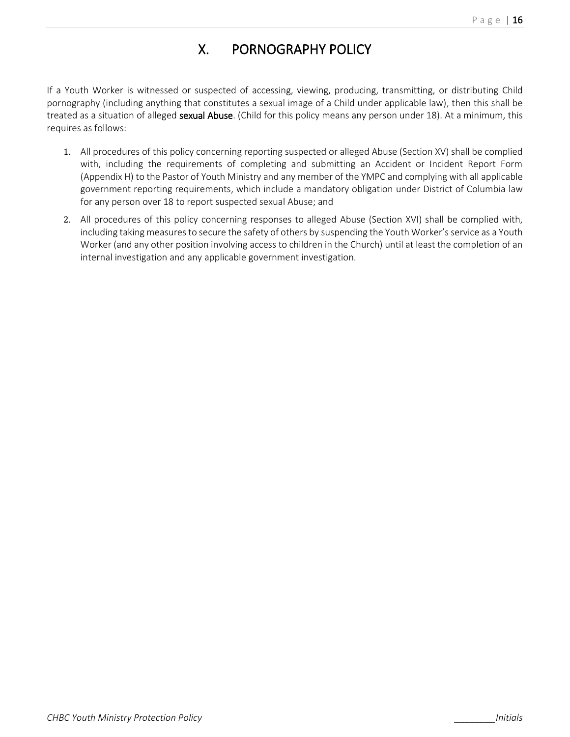### X. PORNOGRAPHY POLICY

If a Youth Worker is witnessed or suspected of accessing, viewing, producing, transmitting, or distributing Child pornography (including anything that constitutes a sexual image of a Child under applicable law), then this shall be treated as a situation of alleged **sexual Abuse**. (Child for this policy means any person under 18). At a minimum, this requires as follows:

- 1. All procedures of this policy concerning reporting suspected or alleged Abuse (Section XV) shall be complied with, including the requirements of completing and submitting an Accident or Incident Report Form (Appendix H) to the Pastor of Youth Ministry and any member of the YMPC and complying with all applicable government reporting requirements, which include a mandatory obligation under District of Columbia law for any person over 18 to report suspected sexual Abuse; and
- 2. All procedures of this policy concerning responses to alleged Abuse (Section XVI) shall be complied with, including taking measures to secure the safety of others by suspending the Youth Worker's service as a Youth Worker (and any other position involving access to children in the Church) until at least the completion of an internal investigation and any applicable government investigation.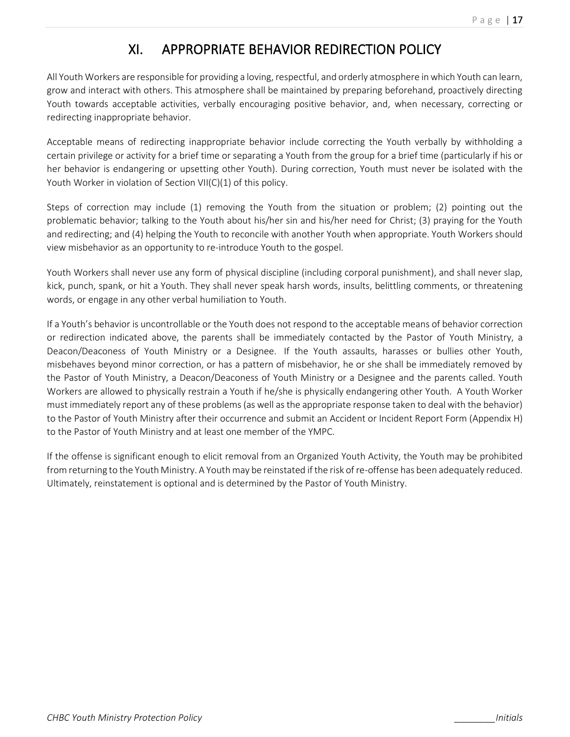### XI. APPROPRIATE BEHAVIOR REDIRECTION POLICY

All Youth Workers are responsible for providing a loving, respectful, and orderly atmosphere in which Youth can learn, grow and interact with others. This atmosphere shall be maintained by preparing beforehand, proactively directing Youth towards acceptable activities, verbally encouraging positive behavior, and, when necessary, correcting or redirecting inappropriate behavior.

Acceptable means of redirecting inappropriate behavior include correcting the Youth verbally by withholding a certain privilege or activity for a brief time or separating a Youth from the group for a brief time (particularly if his or her behavior is endangering or upsetting other Youth). During correction, Youth must never be isolated with the Youth Worker in violation of Section VII(C)(1) of this policy.

Steps of correction may include (1) removing the Youth from the situation or problem; (2) pointing out the problematic behavior; talking to the Youth about his/her sin and his/her need for Christ; (3) praying for the Youth and redirecting; and (4) helping the Youth to reconcile with another Youth when appropriate. Youth Workers should view misbehavior as an opportunity to re-introduce Youth to the gospel.

Youth Workers shall never use any form of physical discipline (including corporal punishment), and shall never slap, kick, punch, spank, or hit a Youth. They shall never speak harsh words, insults, belittling comments, or threatening words, or engage in any other verbal humiliation to Youth.

If a Youth's behavior is uncontrollable or the Youth does not respond to the acceptable means of behavior correction or redirection indicated above, the parents shall be immediately contacted by the Pastor of Youth Ministry, a Deacon/Deaconess of Youth Ministry or a Designee. If the Youth assaults, harasses or bullies other Youth, misbehaves beyond minor correction, or has a pattern of misbehavior, he or she shall be immediately removed by the Pastor of Youth Ministry, a Deacon/Deaconess of Youth Ministry or a Designee and the parents called. Youth Workers are allowed to physically restrain a Youth if he/she is physically endangering other Youth. A Youth Worker must immediately report any of these problems (as well as the appropriate response taken to deal with the behavior) to the Pastor of Youth Ministry after their occurrence and submit an Accident or Incident Report Form (Appendix H) to the Pastor of Youth Ministry and at least one member of the YMPC.

If the offense is significant enough to elicit removal from an Organized Youth Activity, the Youth may be prohibited from returning to the Youth Ministry. A Youth may be reinstated if the risk of re-offense has been adequately reduced. Ultimately, reinstatement is optional and is determined by the Pastor of Youth Ministry.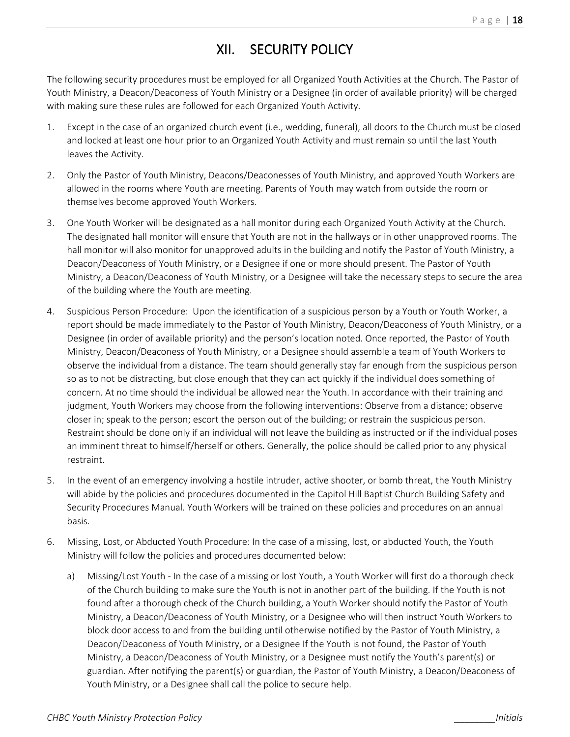### XII. SECURITY POLICY

The following security procedures must be employed for all Organized Youth Activities at the Church. The Pastor of Youth Ministry, a Deacon/Deaconess of Youth Ministry or a Designee (in order of available priority) will be charged with making sure these rules are followed for each Organized Youth Activity.

- 1. Except in the case of an organized church event (i.e., wedding, funeral), all doors to the Church must be closed and locked at least one hour prior to an Organized Youth Activity and must remain so until the last Youth leaves the Activity.
- 2. Only the Pastor of Youth Ministry, Deacons/Deaconesses of Youth Ministry, and approved Youth Workers are allowed in the rooms where Youth are meeting. Parents of Youth may watch from outside the room or themselves become approved Youth Workers.
- 3. One Youth Worker will be designated as a hall monitor during each Organized Youth Activity at the Church. The designated hall monitor will ensure that Youth are not in the hallways or in other unapproved rooms. The hall monitor will also monitor for unapproved adults in the building and notify the Pastor of Youth Ministry, a Deacon/Deaconess of Youth Ministry, or a Designee if one or more should present. The Pastor of Youth Ministry, a Deacon/Deaconess of Youth Ministry, or a Designee will take the necessary steps to secure the area of the building where the Youth are meeting.
- 4. Suspicious Person Procedure: Upon the identification of a suspicious person by a Youth or Youth Worker, a report should be made immediately to the Pastor of Youth Ministry, Deacon/Deaconess of Youth Ministry, or a Designee (in order of available priority) and the person's location noted. Once reported, the Pastor of Youth Ministry, Deacon/Deaconess of Youth Ministry, or a Designee should assemble a team of Youth Workers to observe the individual from a distance. The team should generally stay far enough from the suspicious person so as to not be distracting, but close enough that they can act quickly if the individual does something of concern. At no time should the individual be allowed near the Youth. In accordance with their training and judgment, Youth Workers may choose from the following interventions: Observe from a distance; observe closer in; speak to the person; escort the person out of the building; or restrain the suspicious person. Restraint should be done only if an individual will not leave the building as instructed or if the individual poses an imminent threat to himself/herself or others. Generally, the police should be called prior to any physical restraint.
- 5. In the event of an emergency involving a hostile intruder, active shooter, or bomb threat, the Youth Ministry will abide by the policies and procedures documented in the Capitol Hill Baptist Church Building Safety and Security Procedures Manual. Youth Workers will be trained on these policies and procedures on an annual basis.
- 6. Missing, Lost, or Abducted Youth Procedure: In the case of a missing, lost, or abducted Youth, the Youth Ministry will follow the policies and procedures documented below:
	- a) Missing/Lost Youth In the case of a missing or lost Youth, a Youth Worker will first do a thorough check of the Church building to make sure the Youth is not in another part of the building. If the Youth is not found after a thorough check of the Church building, a Youth Worker should notify the Pastor of Youth Ministry, a Deacon/Deaconess of Youth Ministry, or a Designee who will then instruct Youth Workers to block door access to and from the building until otherwise notified by the Pastor of Youth Ministry, a Deacon/Deaconess of Youth Ministry, or a Designee If the Youth is not found, the Pastor of Youth Ministry, a Deacon/Deaconess of Youth Ministry, or a Designee must notify the Youth's parent(s) or guardian. After notifying the parent(s) or guardian, the Pastor of Youth Ministry, a Deacon/Deaconess of Youth Ministry, or a Designee shall call the police to secure help.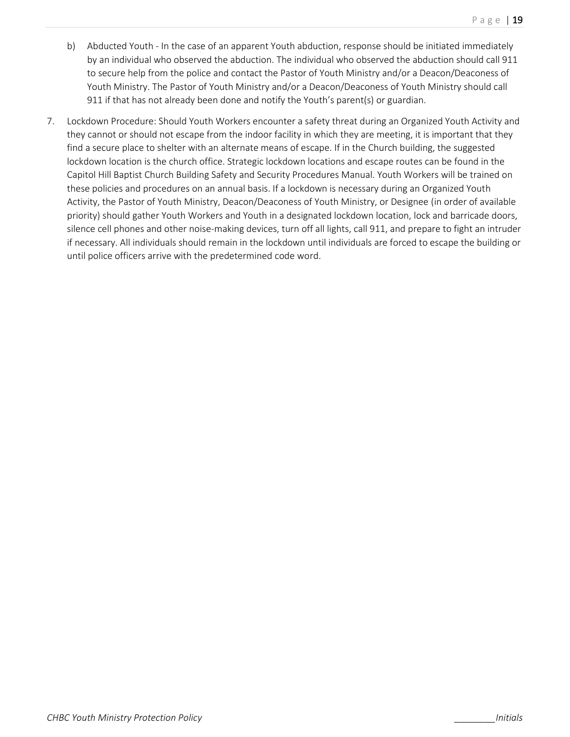- b) Abducted Youth In the case of an apparent Youth abduction, response should be initiated immediately by an individual who observed the abduction. The individual who observed the abduction should call 911 to secure help from the police and contact the Pastor of Youth Ministry and/or a Deacon/Deaconess of Youth Ministry. The Pastor of Youth Ministry and/or a Deacon/Deaconess of Youth Ministry should call 911 if that has not already been done and notify the Youth's parent(s) or guardian.
- 7. Lockdown Procedure: Should Youth Workers encounter a safety threat during an Organized Youth Activity and they cannot or should not escape from the indoor facility in which they are meeting, it is important that they find a secure place to shelter with an alternate means of escape. If in the Church building, the suggested lockdown location is the church office. Strategic lockdown locations and escape routes can be found in the Capitol Hill Baptist Church Building Safety and Security Procedures Manual. Youth Workers will be trained on these policies and procedures on an annual basis. If a lockdown is necessary during an Organized Youth Activity, the Pastor of Youth Ministry, Deacon/Deaconess of Youth Ministry, or Designee (in order of available priority) should gather Youth Workers and Youth in a designated lockdown location, lock and barricade doors, silence cell phones and other noise-making devices, turn off all lights, call 911, and prepare to fight an intruder if necessary. All individuals should remain in the lockdown until individuals are forced to escape the building or until police officers arrive with the predetermined code word.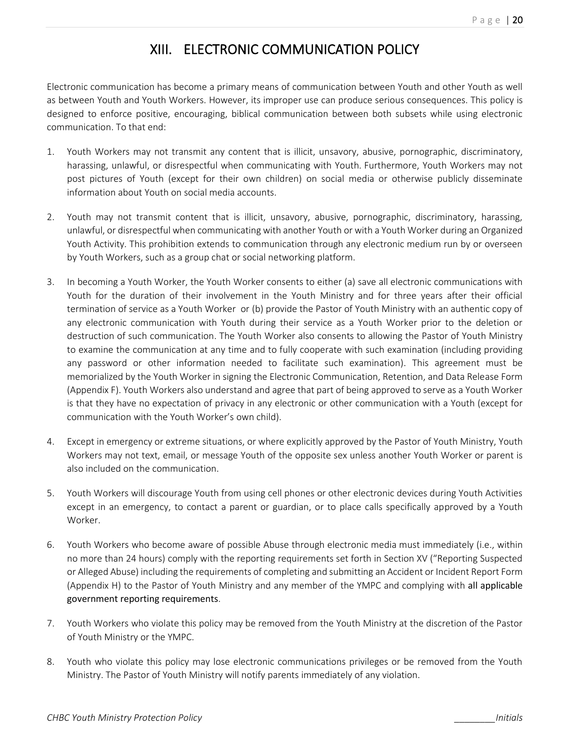### XIII. ELECTRONIC COMMUNICATION POLICY

Electronic communication has become a primary means of communication between Youth and other Youth as well as between Youth and Youth Workers. However, its improper use can produce serious consequences. This policy is designed to enforce positive, encouraging, biblical communication between both subsets while using electronic communication. To that end:

- 1. Youth Workers may not transmit any content that is illicit, unsavory, abusive, pornographic, discriminatory, harassing, unlawful, or disrespectful when communicating with Youth. Furthermore, Youth Workers may not post pictures of Youth (except for their own children) on social media or otherwise publicly disseminate information about Youth on social media accounts.
- 2. Youth may not transmit content that is illicit, unsavory, abusive, pornographic, discriminatory, harassing, unlawful, or disrespectful when communicating with another Youth or with a Youth Worker during an Organized Youth Activity. This prohibition extends to communication through any electronic medium run by or overseen by Youth Workers, such as a group chat or social networking platform.
- 3. In becoming a Youth Worker, the Youth Worker consents to either (a) save all electronic communications with Youth for the duration of their involvement in the Youth Ministry and for three years after their official termination of service as a Youth Worker or (b) provide the Pastor of Youth Ministry with an authentic copy of any electronic communication with Youth during their service as a Youth Worker prior to the deletion or destruction of such communication. The Youth Worker also consents to allowing the Pastor of Youth Ministry to examine the communication at any time and to fully cooperate with such examination (including providing any password or other information needed to facilitate such examination). This agreement must be memorialized by the Youth Worker in signing the Electronic Communication, Retention, and Data Release Form (Appendix F). Youth Workers also understand and agree that part of being approved to serve as a Youth Worker is that they have no expectation of privacy in any electronic or other communication with a Youth (except for communication with the Youth Worker's own child).
- 4. Except in emergency or extreme situations, or where explicitly approved by the Pastor of Youth Ministry, Youth Workers may not text, email, or message Youth of the opposite sex unless another Youth Worker or parent is also included on the communication.
- 5. Youth Workers will discourage Youth from using cell phones or other electronic devices during Youth Activities except in an emergency, to contact a parent or guardian, or to place calls specifically approved by a Youth Worker.
- 6. Youth Workers who become aware of possible Abuse through electronic media must immediately (i.e., within no more than 24 hours) comply with the reporting requirements set forth in Section XV ("Reporting Suspected or Alleged Abuse) including the requirements of completing and submitting an Accident or Incident Report Form (Appendix H) to the Pastor of Youth Ministry and any member of the YMPC and complying with all applicable government reporting requirements.
- 7. Youth Workers who violate this policy may be removed from the Youth Ministry at the discretion of the Pastor of Youth Ministry or the YMPC.
- 8. Youth who violate this policy may lose electronic communications privileges or be removed from the Youth Ministry. The Pastor of Youth Ministry will notify parents immediately of any violation.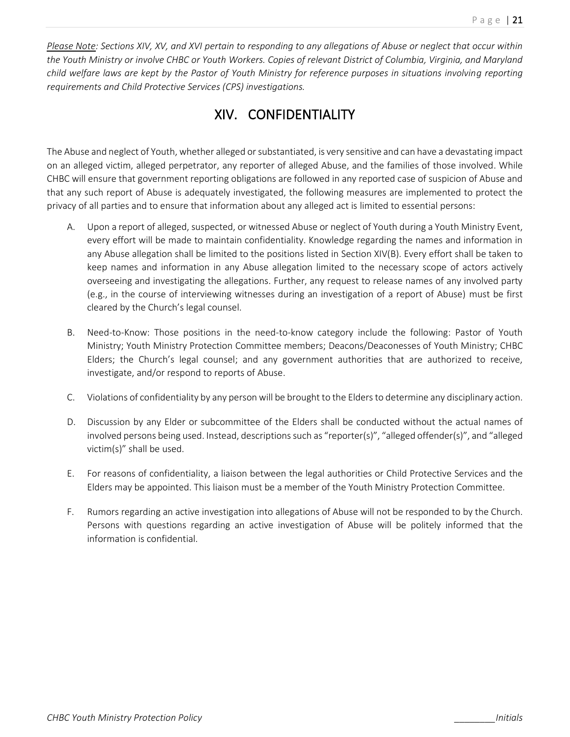*Please Note: Sections XIV, XV, and XVI pertain to responding to any allegations of Abuse or neglect that occur within the Youth Ministry or involve CHBC or Youth Workers. Copies of relevant District of Columbia, Virginia, and Maryland child welfare laws are kept by the Pastor of Youth Ministry for reference purposes in situations involving reporting requirements and Child Protective Services (CPS) investigations.*

### XIV. CONFIDENTIALITY

The Abuse and neglect of Youth, whether alleged or substantiated, is very sensitive and can have a devastating impact on an alleged victim, alleged perpetrator, any reporter of alleged Abuse, and the families of those involved. While CHBC will ensure that government reporting obligations are followed in any reported case of suspicion of Abuse and that any such report of Abuse is adequately investigated, the following measures are implemented to protect the privacy of all parties and to ensure that information about any alleged act is limited to essential persons:

- A. Upon a report of alleged, suspected, or witnessed Abuse or neglect of Youth during a Youth Ministry Event, every effort will be made to maintain confidentiality. Knowledge regarding the names and information in any Abuse allegation shall be limited to the positions listed in Section XIV(B). Every effort shall be taken to keep names and information in any Abuse allegation limited to the necessary scope of actors actively overseeing and investigating the allegations. Further, any request to release names of any involved party (e.g., in the course of interviewing witnesses during an investigation of a report of Abuse) must be first cleared by the Church's legal counsel.
- B. Need-to-Know: Those positions in the need-to-know category include the following: Pastor of Youth Ministry; Youth Ministry Protection Committee members; Deacons/Deaconesses of Youth Ministry; CHBC Elders; the Church's legal counsel; and any government authorities that are authorized to receive, investigate, and/or respond to reports of Abuse.
- C. Violations of confidentiality by any person will be brought to the Elders to determine any disciplinary action.
- D. Discussion by any Elder or subcommittee of the Elders shall be conducted without the actual names of involved persons being used. Instead, descriptions such as "reporter(s)", "alleged offender(s)", and "alleged victim(s)" shall be used.
- E. For reasons of confidentiality, a liaison between the legal authorities or Child Protective Services and the Elders may be appointed. This liaison must be a member of the Youth Ministry Protection Committee.
- F. Rumors regarding an active investigation into allegations of Abuse will not be responded to by the Church. Persons with questions regarding an active investigation of Abuse will be politely informed that the information is confidential.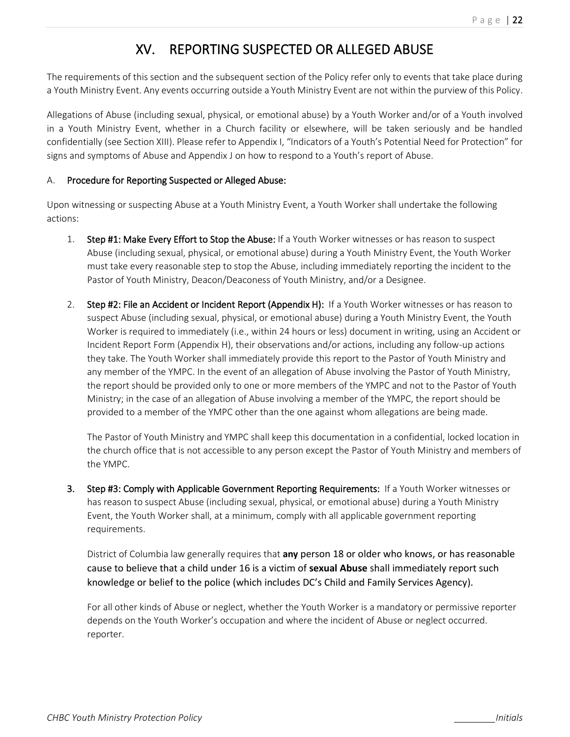### XV. REPORTING SUSPECTED OR ALLEGED ABUSE

The requirements of this section and the subsequent section of the Policy refer only to events that take place during a Youth Ministry Event. Any events occurring outside a Youth Ministry Event are not within the purview of this Policy.

Allegations of Abuse (including sexual, physical, or emotional abuse) by a Youth Worker and/or of a Youth involved in a Youth Ministry Event, whether in a Church facility or elsewhere, will be taken seriously and be handled confidentially (see Section XIII). Please refer to Appendix I, "Indicators of a Youth's Potential Need for Protection" for signs and symptoms of Abuse and Appendix J on how to respond to a Youth's report of Abuse.

#### A. Procedure for Reporting Suspected or Alleged Abuse:

Upon witnessing or suspecting Abuse at a Youth Ministry Event, a Youth Worker shall undertake the following actions:

- 1. Step #1: Make Every Effort to Stop the Abuse: If a Youth Worker witnesses or has reason to suspect Abuse (including sexual, physical, or emotional abuse) during a Youth Ministry Event, the Youth Worker must take every reasonable step to stop the Abuse, including immediately reporting the incident to the Pastor of Youth Ministry, Deacon/Deaconess of Youth Ministry, and/or a Designee.
- 2. Step #2: File an Accident or Incident Report (Appendix H): If a Youth Worker witnesses or has reason to suspect Abuse (including sexual, physical, or emotional abuse) during a Youth Ministry Event, the Youth Worker is required to immediately (i.e., within 24 hours or less) document in writing, using an Accident or Incident Report Form (Appendix H), their observations and/or actions, including any follow-up actions they take. The Youth Worker shall immediately provide this report to the Pastor of Youth Ministry and any member of the YMPC. In the event of an allegation of Abuse involving the Pastor of Youth Ministry, the report should be provided only to one or more members of the YMPC and not to the Pastor of Youth Ministry; in the case of an allegation of Abuse involving a member of the YMPC, the report should be provided to a member of the YMPC other than the one against whom allegations are being made.

The Pastor of Youth Ministry and YMPC shall keep this documentation in a confidential, locked location in the church office that is not accessible to any person except the Pastor of Youth Ministry and members of the YMPC.

3. Step #3: Comply with Applicable Government Reporting Requirements: If a Youth Worker witnesses or has reason to suspect Abuse (including sexual, physical, or emotional abuse) during a Youth Ministry Event, the Youth Worker shall, at a minimum, comply with all applicable government reporting requirements.

District of Columbia law generally requires that **any** person 18 or older who knows, or has reasonable cause to believe that a child under 16 is a victim of **sexual Abuse** shall immediately report such knowledge or belief to the police (which includes DC's Child and Family Services Agency).

For all other kinds of Abuse or neglect, whether the Youth Worker is a mandatory or permissive reporter depends on the Youth Worker's occupation and where the incident of Abuse or neglect occurred. reporter.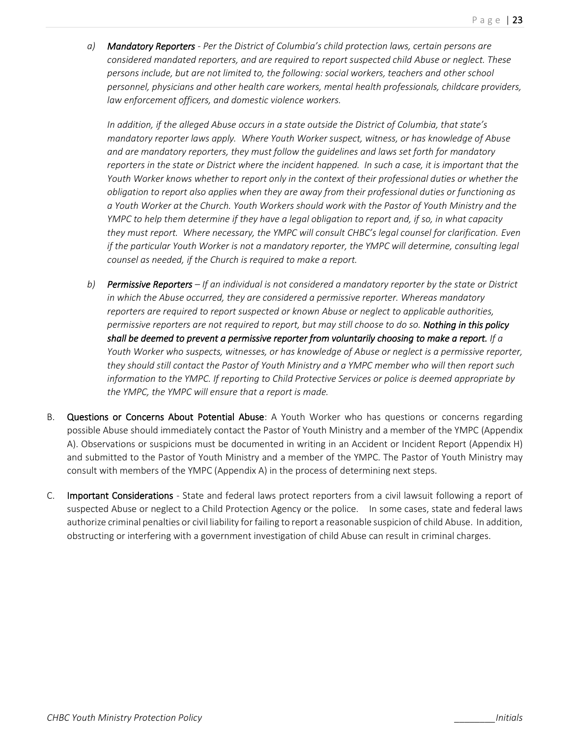*a) Mandatory Reporters - Per the District of Columbia's child protection laws, certain persons are considered mandated reporters, and are required to report suspected child Abuse or neglect. These persons include, but are not limited to, the following: social workers, teachers and other school personnel, physicians and other health care workers, mental health professionals, childcare providers, law enforcement officers, and domestic violence workers.* 

*In addition, if the alleged Abuse occurs in a state outside the District of Columbia, that state's mandatory reporter laws apply. Where Youth Worker suspect, witness, or has knowledge of Abuse and are mandatory reporters, they must follow the guidelines and laws set forth for mandatory reporters in the state or District where the incident happened. In such a case, it is important that the Youth Worker knows whether to report only in the context of their professional duties or whether the obligation to report also applies when they are away from their professional duties or functioning as a Youth Worker at the Church. Youth Workers should work with the Pastor of Youth Ministry and the YMPC to help them determine if they have a legal obligation to report and, if so, in what capacity they must report. Where necessary, the YMPC will consult CHBC's legal counsel for clarification. Even if the particular Youth Worker is not a mandatory reporter, the YMPC will determine, consulting legal counsel as needed, if the Church is required to make a report.*

- *b) Permissive Reporters – If an individual is not considered a mandatory reporter by the state or District in which the Abuse occurred, they are considered a permissive reporter. Whereas mandatory reporters are required to report suspected or known Abuse or neglect to applicable authorities, permissive reporters are not required to report, but may still choose to do so. Nothing in this policy shall be deemed to prevent a permissive reporter from voluntarily choosing to make a report. If a Youth Worker who suspects, witnesses, or has knowledge of Abuse or neglect is a permissive reporter, they should still contact the Pastor of Youth Ministry and a YMPC member who will then report such information to the YMPC. If reporting to Child Protective Services or police is deemed appropriate by the YMPC, the YMPC will ensure that a report is made.*
- B. Questions or Concerns About Potential Abuse: A Youth Worker who has questions or concerns regarding possible Abuse should immediately contact the Pastor of Youth Ministry and a member of the YMPC (Appendix A). Observations or suspicions must be documented in writing in an Accident or Incident Report (Appendix H) and submitted to the Pastor of Youth Ministry and a member of the YMPC. The Pastor of Youth Ministry may consult with members of the YMPC (Appendix A) in the process of determining next steps.
- C. Important Considerations State and federal laws protect reporters from a civil lawsuit following a report of suspected Abuse or neglect to a Child Protection Agency or the police. In some cases, state and federal laws authorize criminal penalties or civil liability for failing to report a reasonable suspicion of child Abuse. In addition, obstructing or interfering with a government investigation of child Abuse can result in criminal charges.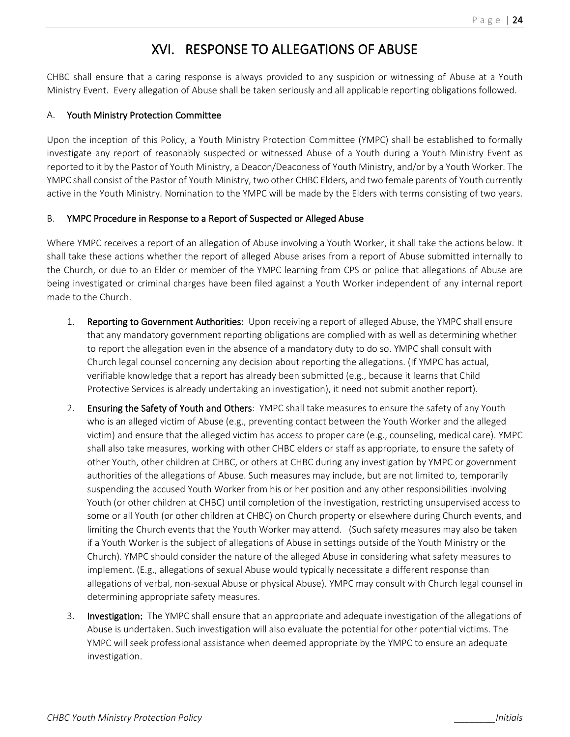### XVI. RESPONSE TO ALLEGATIONS OF ABUSE

CHBC shall ensure that a caring response is always provided to any suspicion or witnessing of Abuse at a Youth Ministry Event. Every allegation of Abuse shall be taken seriously and all applicable reporting obligations followed.

#### A. Youth Ministry Protection Committee

Upon the inception of this Policy, a Youth Ministry Protection Committee (YMPC) shall be established to formally investigate any report of reasonably suspected or witnessed Abuse of a Youth during a Youth Ministry Event as reported to it by the Pastor of Youth Ministry, a Deacon/Deaconess of Youth Ministry, and/or by a Youth Worker. The YMPC shall consist of the Pastor of Youth Ministry, two other CHBC Elders, and two female parents of Youth currently active in the Youth Ministry. Nomination to the YMPC will be made by the Elders with terms consisting of two years.

#### B. YMPC Procedure in Response to a Report of Suspected or Alleged Abuse

Where YMPC receives a report of an allegation of Abuse involving a Youth Worker, it shall take the actions below. It shall take these actions whether the report of alleged Abuse arises from a report of Abuse submitted internally to the Church, or due to an Elder or member of the YMPC learning from CPS or police that allegations of Abuse are being investigated or criminal charges have been filed against a Youth Worker independent of any internal report made to the Church.

- 1. Reporting to Government Authorities: Upon receiving a report of alleged Abuse, the YMPC shall ensure that any mandatory government reporting obligations are complied with as well as determining whether to report the allegation even in the absence of a mandatory duty to do so. YMPC shall consult with Church legal counsel concerning any decision about reporting the allegations. (If YMPC has actual, verifiable knowledge that a report has already been submitted (e.g., because it learns that Child Protective Services is already undertaking an investigation), it need not submit another report).
- 2. Ensuring the Safety of Youth and Others: YMPC shall take measures to ensure the safety of any Youth who is an alleged victim of Abuse (e.g., preventing contact between the Youth Worker and the alleged victim) and ensure that the alleged victim has access to proper care (e.g., counseling, medical care). YMPC shall also take measures, working with other CHBC elders or staff as appropriate, to ensure the safety of other Youth, other children at CHBC, or others at CHBC during any investigation by YMPC or government authorities of the allegations of Abuse. Such measures may include, but are not limited to, temporarily suspending the accused Youth Worker from his or her position and any other responsibilities involving Youth (or other children at CHBC) until completion of the investigation, restricting unsupervised access to some or all Youth (or other children at CHBC) on Church property or elsewhere during Church events, and limiting the Church events that the Youth Worker may attend. (Such safety measures may also be taken if a Youth Worker is the subject of allegations of Abuse in settings outside of the Youth Ministry or the Church). YMPC should consider the nature of the alleged Abuse in considering what safety measures to implement. (E.g., allegations of sexual Abuse would typically necessitate a different response than allegations of verbal, non-sexual Abuse or physical Abuse). YMPC may consult with Church legal counsel in determining appropriate safety measures.
- 3. Investigation: The YMPC shall ensure that an appropriate and adequate investigation of the allegations of Abuse is undertaken. Such investigation will also evaluate the potential for other potential victims. The YMPC will seek professional assistance when deemed appropriate by the YMPC to ensure an adequate investigation.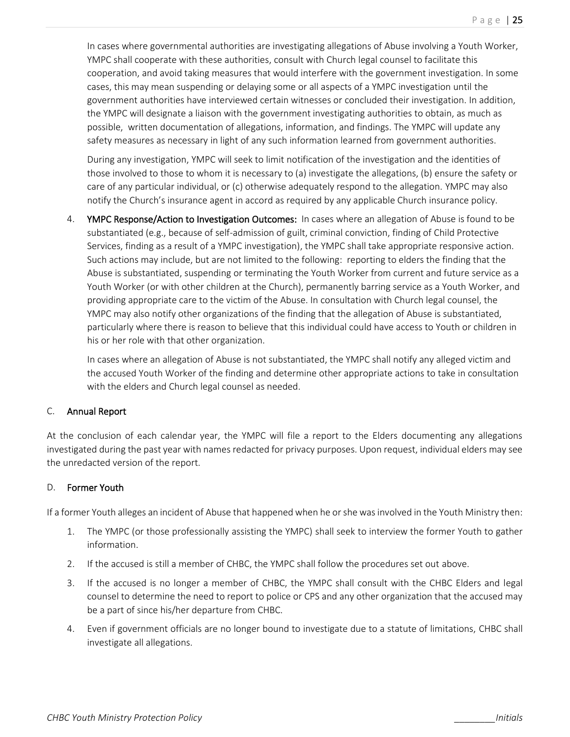In cases where governmental authorities are investigating allegations of Abuse involving a Youth Worker, YMPC shall cooperate with these authorities, consult with Church legal counsel to facilitate this cooperation, and avoid taking measures that would interfere with the government investigation. In some cases, this may mean suspending or delaying some or all aspects of a YMPC investigation until the government authorities have interviewed certain witnesses or concluded their investigation. In addition, the YMPC will designate a liaison with the government investigating authorities to obtain, as much as possible, written documentation of allegations, information, and findings. The YMPC will update any safety measures as necessary in light of any such information learned from government authorities.

During any investigation, YMPC will seek to limit notification of the investigation and the identities of those involved to those to whom it is necessary to (a) investigate the allegations, (b) ensure the safety or care of any particular individual, or (c) otherwise adequately respond to the allegation. YMPC may also notify the Church's insurance agent in accord as required by any applicable Church insurance policy.

4. YMPC Response/Action to Investigation Outcomes: In cases where an allegation of Abuse is found to be substantiated (e.g., because of self-admission of guilt, criminal conviction, finding of Child Protective Services, finding as a result of a YMPC investigation), the YMPC shall take appropriate responsive action. Such actions may include, but are not limited to the following: reporting to elders the finding that the Abuse is substantiated, suspending or terminating the Youth Worker from current and future service as a Youth Worker (or with other children at the Church), permanently barring service as a Youth Worker, and providing appropriate care to the victim of the Abuse. In consultation with Church legal counsel, the YMPC may also notify other organizations of the finding that the allegation of Abuse is substantiated, particularly where there is reason to believe that this individual could have access to Youth or children in his or her role with that other organization.

In cases where an allegation of Abuse is not substantiated, the YMPC shall notify any alleged victim and the accused Youth Worker of the finding and determine other appropriate actions to take in consultation with the elders and Church legal counsel as needed.

#### C. Annual Report

At the conclusion of each calendar year, the YMPC will file a report to the Elders documenting any allegations investigated during the past year with names redacted for privacy purposes. Upon request, individual elders may see the unredacted version of the report.

#### D. Former Youth

If a former Youth alleges an incident of Abuse that happened when he or she was involved in the Youth Ministry then:

- 1. The YMPC (or those professionally assisting the YMPC) shall seek to interview the former Youth to gather information.
- 2. If the accused is still a member of CHBC, the YMPC shall follow the procedures set out above.
- 3. If the accused is no longer a member of CHBC, the YMPC shall consult with the CHBC Elders and legal counsel to determine the need to report to police or CPS and any other organization that the accused may be a part of since his/her departure from CHBC.
- 4. Even if government officials are no longer bound to investigate due to a statute of limitations, CHBC shall investigate all allegations.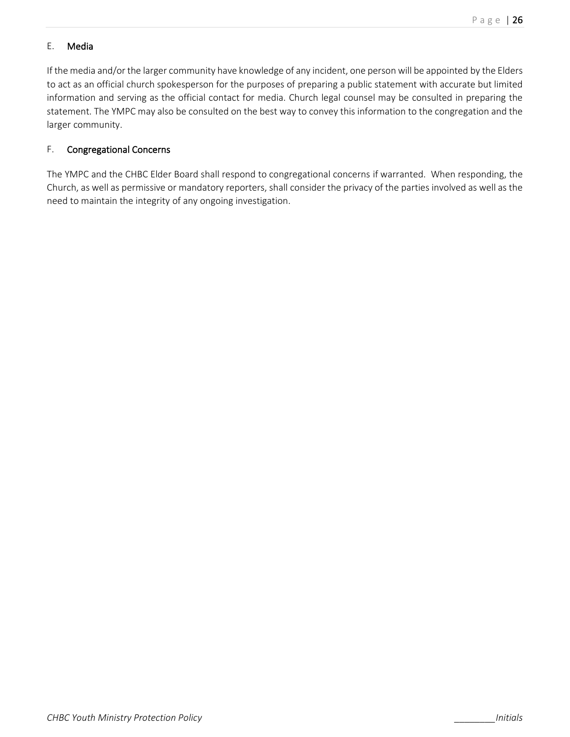#### E. Media

If the media and/or the larger community have knowledge of any incident, one person will be appointed by the Elders to act as an official church spokesperson for the purposes of preparing a public statement with accurate but limited information and serving as the official contact for media. Church legal counsel may be consulted in preparing the statement. The YMPC may also be consulted on the best way to convey this information to the congregation and the larger community.

#### F. Congregational Concerns

The YMPC and the CHBC Elder Board shall respond to congregational concerns if warranted. When responding, the Church, as well as permissive or mandatory reporters, shall consider the privacy of the parties involved as well as the need to maintain the integrity of any ongoing investigation.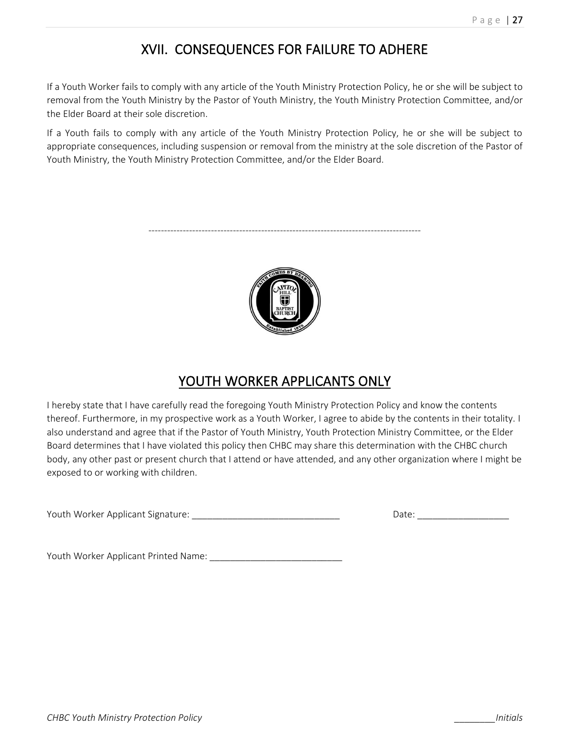### XVII. CONSEQUENCES FOR FAILURE TO ADHERE

If a Youth Worker fails to comply with any article of the Youth Ministry Protection Policy, he or she will be subject to removal from the Youth Ministry by the Pastor of Youth Ministry, the Youth Ministry Protection Committee, and/or the Elder Board at their sole discretion.

If a Youth fails to comply with any article of the Youth Ministry Protection Policy, he or she will be subject to appropriate consequences, including suspension or removal from the ministry at the sole discretion of the Pastor of Youth Ministry, the Youth Ministry Protection Committee, and/or the Elder Board.

---------------------------------------------------------------------------------------



### YOUTH WORKER APPLICANTS ONLY

I hereby state that I have carefully read the foregoing Youth Ministry Protection Policy and know the contents thereof. Furthermore, in my prospective work as a Youth Worker, I agree to abide by the contents in their totality. I also understand and agree that if the Pastor of Youth Ministry, Youth Protection Ministry Committee, or the Elder Board determines that I have violated this policy then CHBC may share this determination with the CHBC church body, any other past or present church that I attend or have attended, and any other organization where I might be exposed to or working with children.

Youth Worker Applicant Signature: \_\_\_\_\_\_\_\_\_\_\_\_\_\_\_\_\_\_\_\_\_\_\_\_\_\_\_\_\_ Date: \_\_\_\_\_\_\_\_\_\_\_\_\_\_\_\_\_\_

Youth Worker Applicant Printed Name: \_\_\_\_\_\_\_\_\_\_\_\_\_\_\_\_\_\_\_\_\_\_\_\_\_\_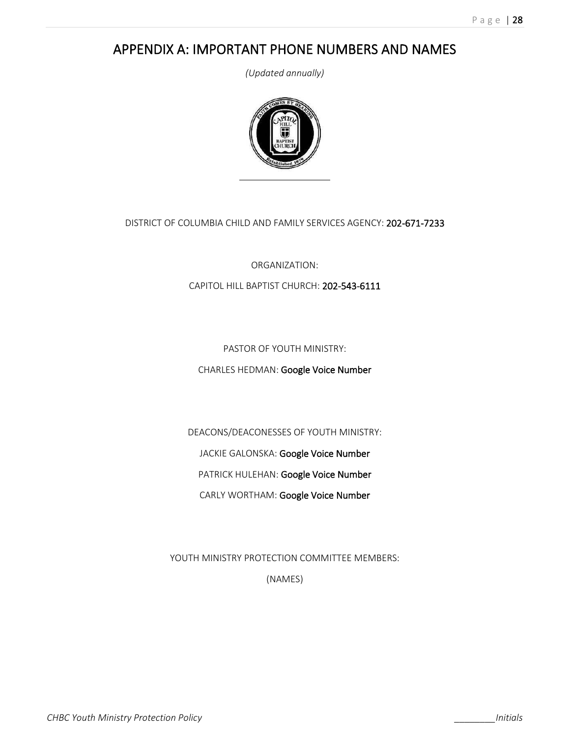### APPENDIX A: IMPORTANT PHONE NUMBERS AND NAMES

*(Updated annually)*



DISTRICT OF COLUMBIA CHILD AND FAMILY SERVICES AGENCY: 202-671-7233

ORGANIZATION:

CAPITOL HILL BAPTIST CHURCH: 202-543-6111

PASTOR OF YOUTH MINISTRY:

CHARLES HEDMAN: Google Voice Number

DEACONS/DEACONESSES OF YOUTH MINISTRY:

JACKIE GALONSKA: Google Voice Number

PATRICK HULEHAN: Google Voice Number

CARLY WORTHAM: Google Voice Number

YOUTH MINISTRY PROTECTION COMMITTEE MEMBERS:

(NAMES)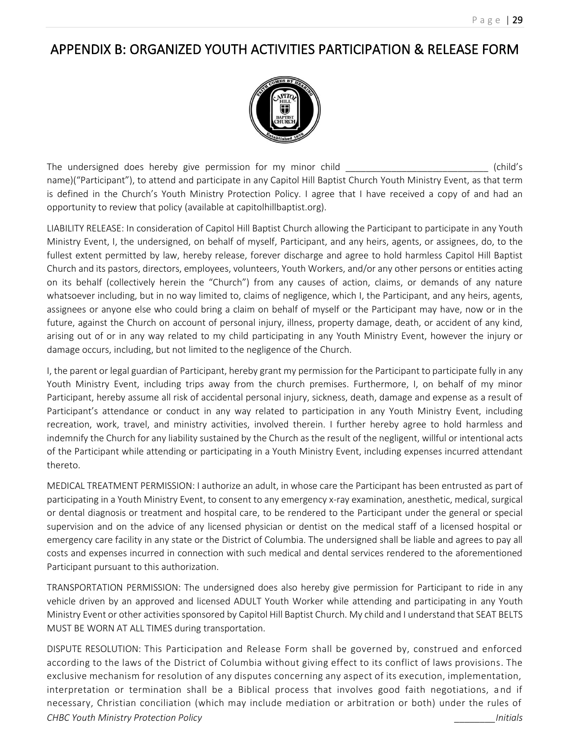### APPENDIX B: ORGANIZED YOUTH ACTIVITIES PARTICIPATION & RELEASE FORM



The undersigned does hereby give permission for my minor child \_\_\_\_\_\_\_\_\_\_\_\_\_\_\_\_\_\_\_\_\_\_\_\_\_\_\_\_ (child's name)("Participant"), to attend and participate in any Capitol Hill Baptist Church Youth Ministry Event, as that term is defined in the Church's Youth Ministry Protection Policy. I agree that I have received a copy of and had an opportunity to review that policy (available at capitolhillbaptist.org).

LIABILITY RELEASE: In consideration of Capitol Hill Baptist Church allowing the Participant to participate in any Youth Ministry Event, I, the undersigned, on behalf of myself, Participant, and any heirs, agents, or assignees, do, to the fullest extent permitted by law, hereby release, forever discharge and agree to hold harmless Capitol Hill Baptist Church and its pastors, directors, employees, volunteers, Youth Workers, and/or any other persons or entities acting on its behalf (collectively herein the "Church") from any causes of action, claims, or demands of any nature whatsoever including, but in no way limited to, claims of negligence, which I, the Participant, and any heirs, agents, assignees or anyone else who could bring a claim on behalf of myself or the Participant may have, now or in the future, against the Church on account of personal injury, illness, property damage, death, or accident of any kind, arising out of or in any way related to my child participating in any Youth Ministry Event, however the injury or damage occurs, including, but not limited to the negligence of the Church.

I, the parent or legal guardian of Participant, hereby grant my permission for the Participant to participate fully in any Youth Ministry Event, including trips away from the church premises. Furthermore, I, on behalf of my minor Participant, hereby assume all risk of accidental personal injury, sickness, death, damage and expense as a result of Participant's attendance or conduct in any way related to participation in any Youth Ministry Event, including recreation, work, travel, and ministry activities, involved therein. I further hereby agree to hold harmless and indemnify the Church for any liability sustained by the Church as the result of the negligent, willful or intentional acts of the Participant while attending or participating in a Youth Ministry Event, including expenses incurred attendant thereto.

MEDICAL TREATMENT PERMISSION: I authorize an adult, in whose care the Participant has been entrusted as part of participating in a Youth Ministry Event, to consent to any emergency x-ray examination, anesthetic, medical, surgical or dental diagnosis or treatment and hospital care, to be rendered to the Participant under the general or special supervision and on the advice of any licensed physician or dentist on the medical staff of a licensed hospital or emergency care facility in any state or the District of Columbia. The undersigned shall be liable and agrees to pay all costs and expenses incurred in connection with such medical and dental services rendered to the aforementioned Participant pursuant to this authorization.

TRANSPORTATION PERMISSION: The undersigned does also hereby give permission for Participant to ride in any vehicle driven by an approved and licensed ADULT Youth Worker while attending and participating in any Youth Ministry Event or other activities sponsored by Capitol Hill Baptist Church. My child and I understand that SEAT BELTS MUST BE WORN AT ALL TIMES during transportation.

*CHBC Youth Ministry Protection Policy \_\_\_\_\_\_\_\_Initials* DISPUTE RESOLUTION: This Participation and Release Form shall be governed by, construed and enforced according to the laws of the District of Columbia without giving effect to its conflict of laws provisions. The exclusive mechanism for resolution of any disputes concerning any aspect of its execution, implementation, interpretation or termination shall be a Biblical process that involves good faith negotiations, a nd if necessary, Christian conciliation (which may include mediation or arbitration or both) under the rules of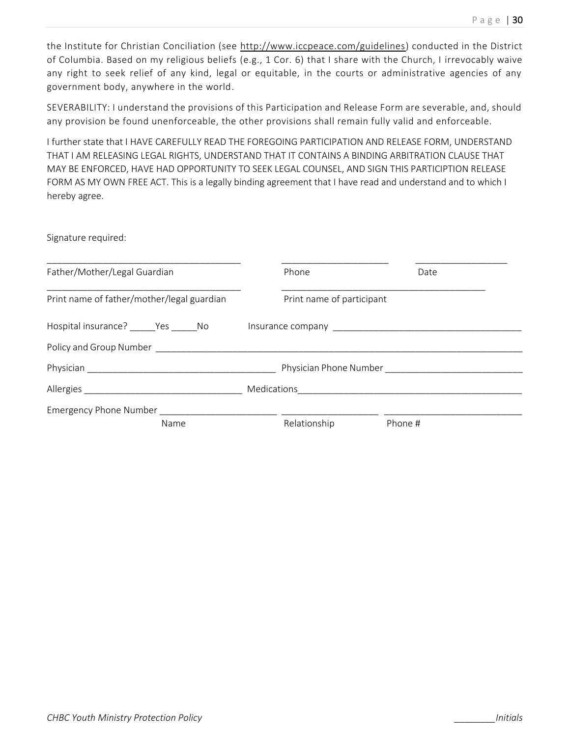the Institute for Christian Conciliation (see http://www.iccpeace.com/guidelines) conducted in the District of Columbia. Based on my religious beliefs (e.g., 1 Cor. 6) that I share with the Church, I irrevocably waive any right to seek relief of any kind, legal or equitable, in the courts or administrative agencies of any government body, anywhere in the world.

SEVERABILITY: I understand the provisions of this Participation and Release Form are severable, and, should any provision be found unenforceable, the other provisions shall remain fully valid and enforceable.

I further state that I HAVE CAREFULLY READ THE FOREGOING PARTICIPATION AND RELEASE FORM, UNDERSTAND THAT I AM RELEASING LEGAL RIGHTS, UNDERSTAND THAT IT CONTAINS A BINDING ARBITRATION CLAUSE THAT MAY BE ENFORCED, HAVE HAD OPPORTUNITY TO SEEK LEGAL COUNSEL, AND SIGN THIS PARTICIPTION RELEASE FORM AS MY OWN FREE ACT. This is a legally binding agreement that I have read and understand and to which I hereby agree.

Signature required:

| Father/Mother/Legal Guardian               |  | Phone                     | Date                   |  |
|--------------------------------------------|--|---------------------------|------------------------|--|
| Print name of father/mother/legal guardian |  | Print name of participant |                        |  |
| Hospital insurance? ______Yes _______No    |  |                           |                        |  |
|                                            |  |                           |                        |  |
|                                            |  |                           | Physician Phone Number |  |
|                                            |  |                           |                        |  |
| Emergency Phone Number _______             |  |                           |                        |  |
| Name                                       |  | Relationship              | Phone #                |  |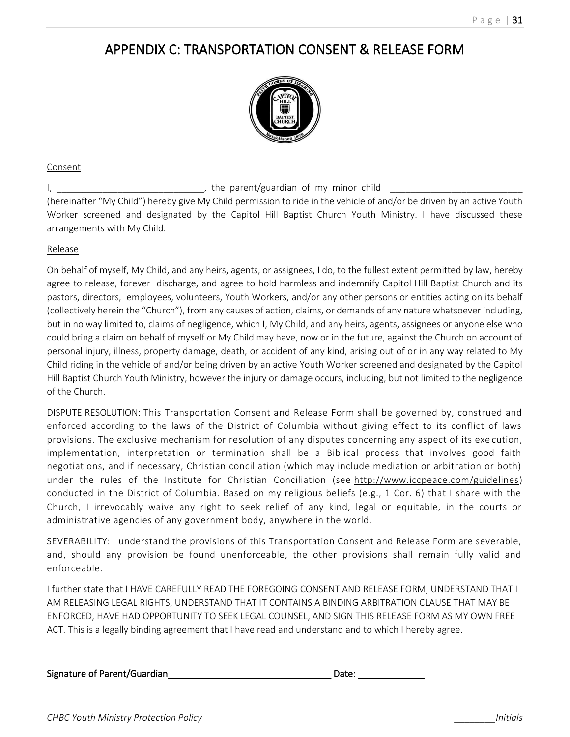### APPENDIX C: TRANSPORTATION CONSENT & RELEASE FORM



#### Consent

I, \_\_\_\_\_\_\_\_\_\_\_\_\_\_\_\_\_\_\_\_\_\_\_\_\_\_\_\_\_, the parent/guardian of my minor child \_\_\_\_\_\_\_\_\_\_\_\_\_\_\_\_\_\_\_\_\_\_\_\_\_\_ (hereinafter "My Child") hereby give My Child permission to ride in the vehicle of and/or be driven by an active Youth Worker screened and designated by the Capitol Hill Baptist Church Youth Ministry. I have discussed these arrangements with My Child.

#### Release

On behalf of myself, My Child, and any heirs, agents, or assignees, I do, to the fullest extent permitted by law, hereby agree to release, forever discharge, and agree to hold harmless and indemnify Capitol Hill Baptist Church and its pastors, directors, employees, volunteers, Youth Workers, and/or any other persons or entities acting on its behalf (collectively herein the "Church"), from any causes of action, claims, or demands of any nature whatsoever including, but in no way limited to, claims of negligence, which I, My Child, and any heirs, agents, assignees or anyone else who could bring a claim on behalf of myself or My Child may have, now or in the future, against the Church on account of personal injury, illness, property damage, death, or accident of any kind, arising out of or in any way related to My Child riding in the vehicle of and/or being driven by an active Youth Worker screened and designated by the Capitol Hill Baptist Church Youth Ministry, however the injury or damage occurs, including, but not limited to the negligence of the Church.

DISPUTE RESOLUTION: This Transportation Consent and Release Form shall be governed by, construed and enforced according to the laws of the District of Columbia without giving effect to its conflict of laws provisions. The exclusive mechanism for resolution of any disputes concerning any aspect of its exe cution, implementation, interpretation or termination shall be a Biblical process that involves good faith negotiations, and if necessary, Christian conciliation (which may include mediation or arbitration or both) under the rules of the Institute for Christian Conciliation (see http://www.iccpeace.com/guidelines) conducted in the District of Columbia. Based on my religious beliefs (e.g., 1 Cor. 6) that I share with the Church, I irrevocably waive any right to seek relief of any kind, legal or equitable, in the courts or administrative agencies of any government body, anywhere in the world.

SEVERABILITY: I understand the provisions of this Transportation Consent and Release Form are severable, and, should any provision be found unenforceable, the other provisions shall remain fully valid and enforceable.

I further state that I HAVE CAREFULLY READ THE FOREGOING CONSENT AND RELEASE FORM, UNDERSTAND THAT I AM RELEASING LEGAL RIGHTS, UNDERSTAND THAT IT CONTAINS A BINDING ARBITRATION CLAUSE THAT MAY BE ENFORCED, HAVE HAD OPPORTUNITY TO SEEK LEGAL COUNSEL, AND SIGN THIS RELEASE FORM AS MY OWN FREE ACT. This is a legally binding agreement that I have read and understand and to which I hereby agree.

Signature of Parent/Guardian\_\_\_\_\_\_\_\_\_\_\_\_\_\_\_\_\_\_\_\_\_\_\_\_\_\_\_\_\_\_\_\_ Date: \_\_\_\_\_\_\_\_\_\_\_\_\_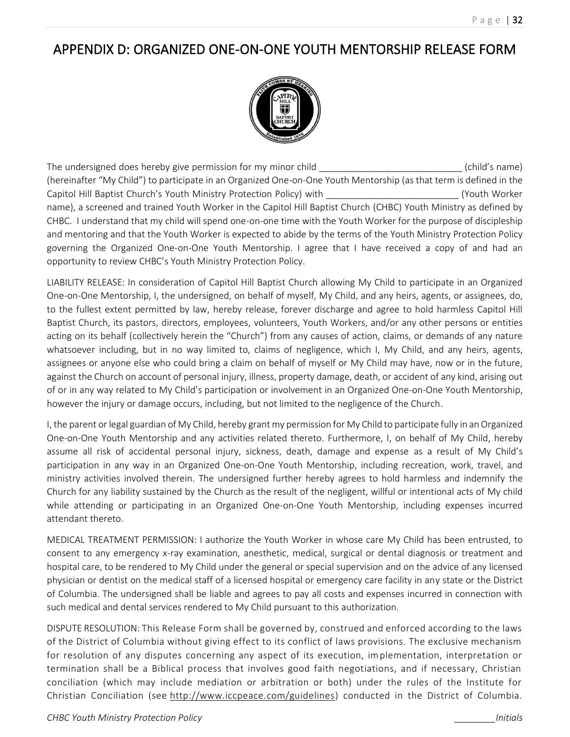### APPENDIX D: ORGANIZED ONE-ON-ONE YOUTH MENTORSHIP RELEASE FORM



The undersigned does hereby give permission for my minor child \_\_\_\_\_\_\_\_\_\_\_\_\_\_\_\_\_\_\_\_\_\_\_\_\_\_\_\_\_\_\_\_\_\_\_(child's name) (hereinafter "My Child") to participate in an Organized One-on-One Youth Mentorship (as that term is defined in the Capitol Hill Baptist Church's Youth Ministry Protection Policy) with \_\_\_\_\_\_\_\_\_\_\_\_\_\_\_\_\_\_\_\_\_\_\_\_\_\_ (Youth Worker name), a screened and trained Youth Worker in the Capitol Hill Baptist Church (CHBC) Youth Ministry as defined by CHBC. I understand that my child will spend one-on-one time with the Youth Worker for the purpose of discipleship and mentoring and that the Youth Worker is expected to abide by the terms of the Youth Ministry Protection Policy governing the Organized One-on-One Youth Mentorship. I agree that I have received a copy of and had an opportunity to review CHBC's Youth Ministry Protection Policy.

LIABILITY RELEASE: In consideration of Capitol Hill Baptist Church allowing My Child to participate in an Organized One-on-One Mentorship, I, the undersigned, on behalf of myself, My Child, and any heirs, agents, or assignees, do, to the fullest extent permitted by law, hereby release, forever discharge and agree to hold harmless Capitol Hill Baptist Church, its pastors, directors, employees, volunteers, Youth Workers, and/or any other persons or entities acting on its behalf (collectively herein the "Church") from any causes of action, claims, or demands of any nature whatsoever including, but in no way limited to, claims of negligence, which I, My Child, and any heirs, agents, assignees or anyone else who could bring a claim on behalf of myself or My Child may have, now or in the future, against the Church on account of personal injury, illness, property damage, death, or accident of any kind, arising out of or in any way related to My Child's participation or involvement in an Organized One-on-One Youth Mentorship, however the injury or damage occurs, including, but not limited to the negligence of the Church.

I, the parent or legal guardian of My Child, hereby grant my permission for My Child to participate fully in an Organized One-on-One Youth Mentorship and any activities related thereto. Furthermore, I, on behalf of My Child, hereby assume all risk of accidental personal injury, sickness, death, damage and expense as a result of My Child's participation in any way in an Organized One-on-One Youth Mentorship, including recreation, work, travel, and ministry activities involved therein. The undersigned further hereby agrees to hold harmless and indemnify the Church for any liability sustained by the Church as the result of the negligent, willful or intentional acts of My child while attending or participating in an Organized One-on-One Youth Mentorship, including expenses incurred attendant thereto.

MEDICAL TREATMENT PERMISSION: I authorize the Youth Worker in whose care My Child has been entrusted, to consent to any emergency x-ray examination, anesthetic, medical, surgical or dental diagnosis or treatment and hospital care, to be rendered to My Child under the general or special supervision and on the advice of any licensed physician or dentist on the medical staff of a licensed hospital or emergency care facility in any state or the District of Columbia. The undersigned shall be liable and agrees to pay all costs and expenses incurred in connection with such medical and dental services rendered to My Child pursuant to this authorization.

DISPUTE RESOLUTION: This Release Form shall be governed by, construed and enforced according to the laws of the District of Columbia without giving effect to its conflict of laws provisions. The exclusive mechanism for resolution of any disputes concerning any aspect of its execution, implementation, interpretation or termination shall be a Biblical process that involves good faith negotiations, and if necessary, Christian conciliation (which may include mediation or arbitration or both) under the rules of the Institute for Christian Conciliation (see http://www.iccpeace.com/guidelines) conducted in the District of Columbia.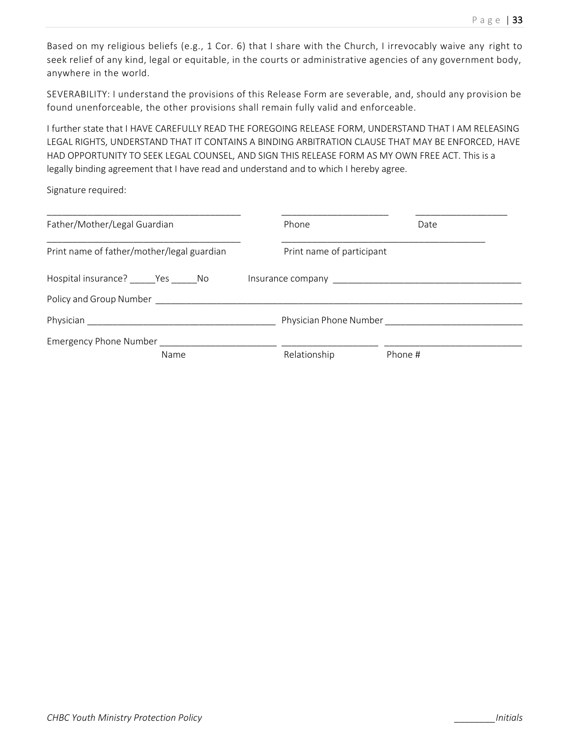Based on my religious beliefs (e.g., 1 Cor. 6) that I share with the Church, I irrevocably waive any right to seek relief of any kind, legal or equitable, in the courts or administrative agencies of any government body, anywhere in the world.

SEVERABILITY: I understand the provisions of this Release Form are severable, and, should any provision be found unenforceable, the other provisions shall remain fully valid and enforceable.

I further state that I HAVE CAREFULLY READ THE FOREGOING RELEASE FORM, UNDERSTAND THAT I AM RELEASING LEGAL RIGHTS, UNDERSTAND THAT IT CONTAINS A BINDING ARBITRATION CLAUSE THAT MAY BE ENFORCED, HAVE HAD OPPORTUNITY TO SEEK LEGAL COUNSEL, AND SIGN THIS RELEASE FORM AS MY OWN FREE ACT. This is a legally binding agreement that I have read and understand and to which I hereby agree.

Signature required:

| Father/Mother/Legal Guardian                                                                                                                                                                                                                                                      |  | Phone                     | Date                   |  |
|-----------------------------------------------------------------------------------------------------------------------------------------------------------------------------------------------------------------------------------------------------------------------------------|--|---------------------------|------------------------|--|
| Print name of father/mother/legal guardian                                                                                                                                                                                                                                        |  | Print name of participant |                        |  |
| Hospital insurance? _______ Yes ______ No<br>Insurance company <b>contract to the contract of the contract of the contract of the contract of the contract of the contract of the contract of the contract of the contract of the contract of the contract of the contract of</b> |  |                           |                        |  |
| Policy and Group Number                                                                                                                                                                                                                                                           |  |                           |                        |  |
| Physician <b>Exercise Service Service Service Service</b> Service Service Service Service Service Service Service Service Service Service Service Service Service Service Service Service Service Service Service Service Service S                                               |  |                           | Physician Phone Number |  |
| Emergency Phone Number                                                                                                                                                                                                                                                            |  |                           |                        |  |
| Name                                                                                                                                                                                                                                                                              |  | Relationship              | Phone #                |  |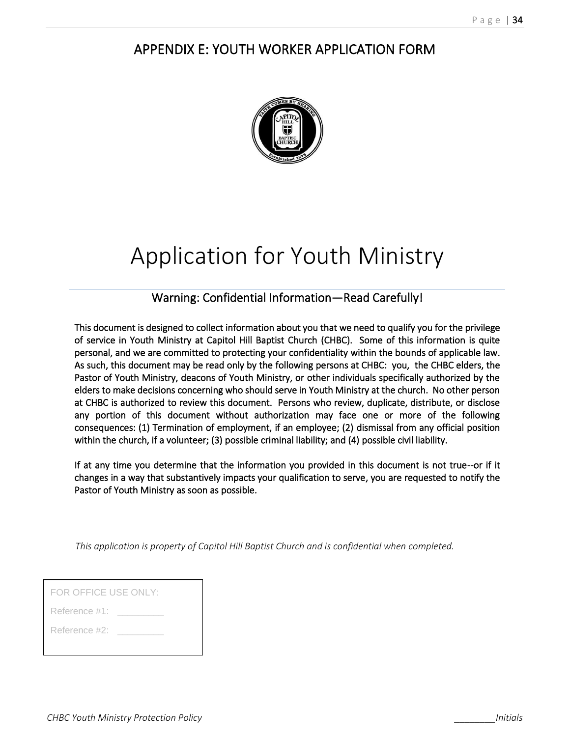### APPENDIX E: YOUTH WORKER APPLICATION FORM



# Application for Youth Ministry

### Warning: Confidential Information—Read Carefully!

This document is designed to collect information about you that we need to qualify you for the privilege of service in Youth Ministry at Capitol Hill Baptist Church (CHBC). Some of this information is quite personal, and we are committed to protecting your confidentiality within the bounds of applicable law. As such, this document may be read only by the following persons at CHBC: you, the CHBC elders, the Pastor of Youth Ministry, deacons of Youth Ministry, or other individuals specifically authorized by the elders to make decisions concerning who should serve in Youth Ministry at the church. No other person at CHBC is authorized to review this document. Persons who review, duplicate, distribute, or disclose any portion of this document without authorization may face one or more of the following consequences: (1) Termination of employment, if an employee; (2) dismissal from any official position within the church, if a volunteer; (3) possible criminal liability; and (4) possible civil liability.

If at any time you determine that the information you provided in this document is not true--or if it changes in a way that substantively impacts your qualification to serve, you are requested to notify the Pastor of Youth Ministry as soon as possible.

*This application is property of Capitol Hill Baptist Church and is confidential when completed.*

| FOR OFFICE USE ONLY: |
|----------------------|
| Reference #1:        |
| Reference #2:        |
|                      |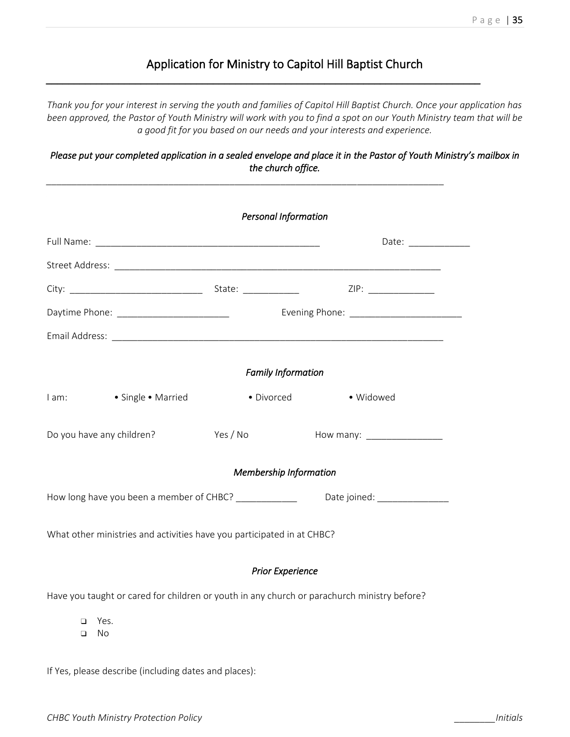### Application for Ministry to Capitol Hill Baptist Church

*\_\_\_\_\_\_\_\_\_\_\_\_\_\_\_\_\_\_\_\_\_\_\_\_\_\_\_\_\_\_\_\_\_\_\_\_\_\_\_\_\_\_\_\_\_\_\_\_\_\_\_\_\_\_\_\_\_\_\_\_\_\_\_\_\_\_\_\_\_\_\_\_\_\_\_\_\_\_* 

*\_\_\_\_\_\_\_\_\_\_\_\_\_\_\_\_\_\_\_\_\_\_\_\_\_\_\_\_\_\_\_\_\_\_\_\_\_\_\_\_\_\_\_\_\_\_\_\_\_\_\_\_\_\_\_\_\_\_\_\_\_\_\_\_\_\_\_\_\_\_\_\_\_\_\_\_\_\_*

*Thank you for your interest in serving the youth and families of Capitol Hill Baptist Church. Once your application has been approved, the Pastor of Youth Ministry will work with you to find a spot on our Youth Ministry team that will be a good fit for you based on our needs and your interests and experience.* 

*Please put your completed application in a sealed envelope and place it in the Pastor of Youth Ministry's mailbox in the church office.* 

|        |                                                                        | <b>Personal Information</b> |                                                                                                      |
|--------|------------------------------------------------------------------------|-----------------------------|------------------------------------------------------------------------------------------------------|
|        |                                                                        |                             | Date:                                                                                                |
|        |                                                                        |                             |                                                                                                      |
|        |                                                                        |                             |                                                                                                      |
|        |                                                                        |                             |                                                                                                      |
|        |                                                                        |                             |                                                                                                      |
|        |                                                                        | <b>Family Information</b>   |                                                                                                      |
|        | I am: • Single • Married                                               | · Divorced · Vidowed        |                                                                                                      |
|        | Do you have any children?                                              |                             |                                                                                                      |
|        |                                                                        | Membership Information      |                                                                                                      |
|        |                                                                        |                             | How long have you been a member of CHBC? ________________________Date joined: ______________________ |
|        | What other ministries and activities have you participated in at CHBC? |                             |                                                                                                      |
|        |                                                                        | <b>Prior Experience</b>     |                                                                                                      |
|        |                                                                        |                             | Have you taught or cared for children or youth in any church or parachurch ministry before?          |
| ⊓<br>□ | Yes.<br>No                                                             |                             |                                                                                                      |

If Yes, please describe (including dates and places):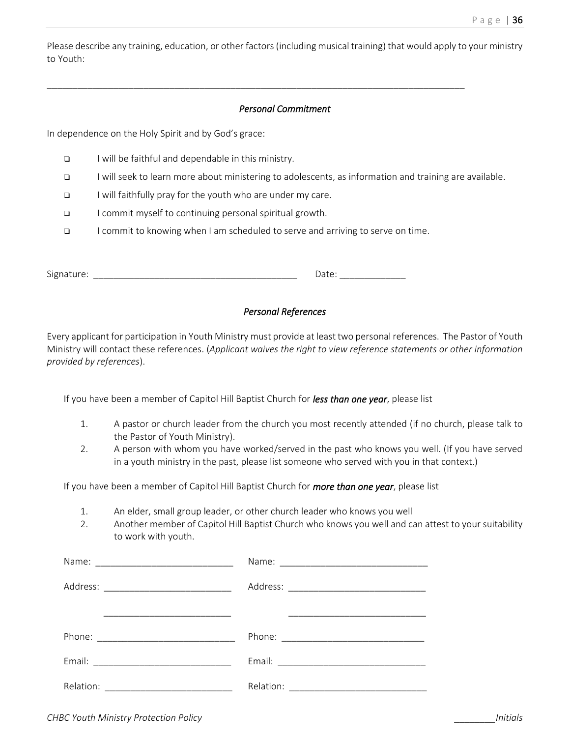Please describe any training, education, or other factors (including musical training) that would apply to your ministry to Youth:

#### *Personal Commitment*

\_\_\_\_\_\_\_\_\_\_\_\_\_\_\_\_\_\_\_\_\_\_\_\_\_\_\_\_\_\_\_\_\_\_\_\_\_\_\_\_\_\_\_\_\_\_\_\_\_\_\_\_\_\_\_\_\_\_\_\_\_\_\_\_\_\_\_\_\_\_\_\_\_\_\_\_\_\_\_\_\_\_

In dependence on the Holy Spirit and by God's grace:

- ❑ I will be faithful and dependable in this ministry.
- ❑ I will seek to learn more about ministering to adolescents, as information and training are available.
- ❑ I will faithfully pray for the youth who are under my care.
- ❑ I commit myself to continuing personal spiritual growth.
- ❑ I commit to knowing when I am scheduled to serve and arriving to serve on time.

| <b></b><br>۱۵ |  |
|---------------|--|
|---------------|--|

#### *Personal References*

Every applicant for participation in Youth Ministry must provide at least two personal references. The Pastor of Youth Ministry will contact these references. (*Applicant waives the right to view reference statements or other information provided by references*).

If you have been a member of Capitol Hill Baptist Church for *less than one year*, please list

- 1. A pastor or church leader from the church you most recently attended (if no church, please talk to the Pastor of Youth Ministry).
- 2. A person with whom you have worked/served in the past who knows you well. (If you have served in a youth ministry in the past, please list someone who served with you in that context.)

If you have been a member of Capitol Hill Baptist Church for *more than one year*, please list

- 1. An elder, small group leader, or other church leader who knows you well
- 2. Another member of Capitol Hill Baptist Church who knows you well and can attest to your suitability to work with youth.

| Address: _________________________________                                                |  |
|-------------------------------------------------------------------------------------------|--|
| the company of the company of the company of the company of the company of the company of |  |
|                                                                                           |  |
|                                                                                           |  |
|                                                                                           |  |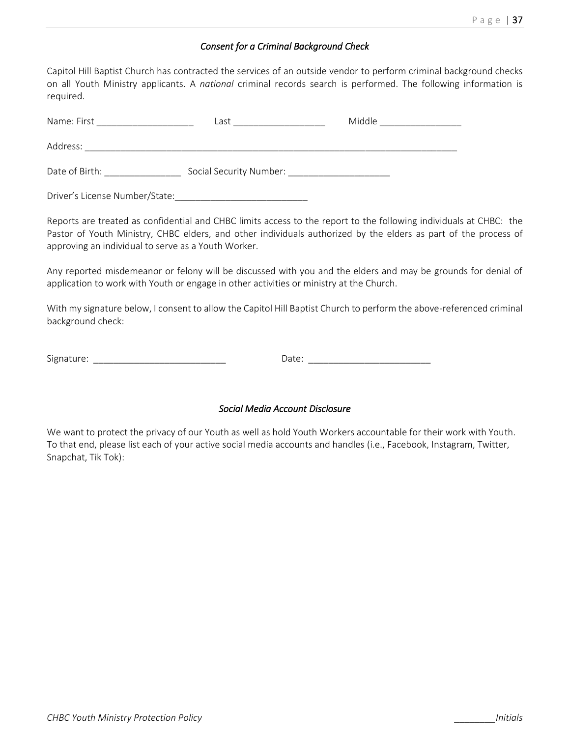#### *Consent for a Criminal Background Check*

Capitol Hill Baptist Church has contracted the services of an outside vendor to perform criminal background checks on all Youth Ministry applicants. A *national* criminal records search is performed. The following information is required.

| Name: First                    | Last                    | Middle |
|--------------------------------|-------------------------|--------|
| Address:                       |                         |        |
| Date of Birth:                 | Social Security Number: |        |
| Driver's License Number/State: |                         |        |

Reports are treated as confidential and CHBC limits access to the report to the following individuals at CHBC: the Pastor of Youth Ministry, CHBC elders, and other individuals authorized by the elders as part of the process of approving an individual to serve as a Youth Worker.

Any reported misdemeanor or felony will be discussed with you and the elders and may be grounds for denial of application to work with Youth or engage in other activities or ministry at the Church.

With my signature below, I consent to allow the Capitol Hill Baptist Church to perform the above-referenced criminal background check:

Signature: \_\_\_\_\_\_\_\_\_\_\_\_\_\_\_\_\_\_\_\_\_\_\_\_\_\_ Date: \_\_\_\_\_\_\_\_\_\_\_\_\_\_\_\_\_\_\_\_\_\_\_\_

#### *Social Media Account Disclosure*

We want to protect the privacy of our Youth as well as hold Youth Workers accountable for their work with Youth. To that end, please list each of your active social media accounts and handles (i.e., Facebook, Instagram, Twitter, Snapchat, Tik Tok):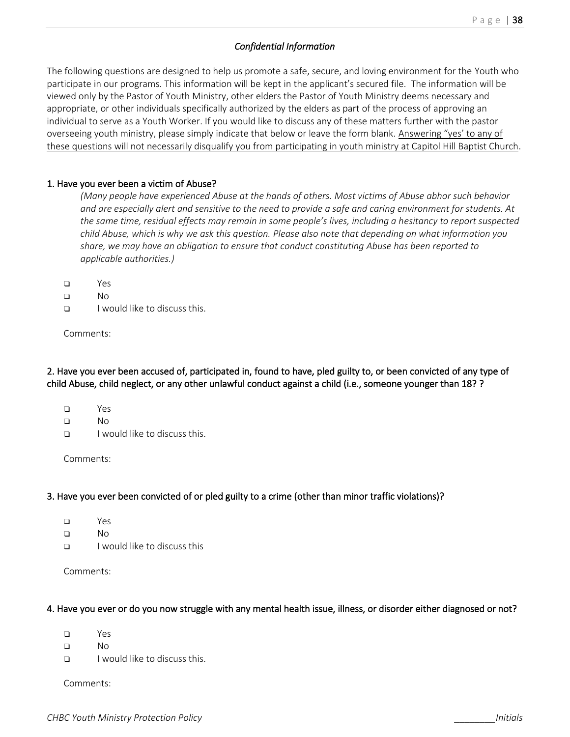#### *Confidential Information*

The following questions are designed to help us promote a safe, secure, and loving environment for the Youth who participate in our programs. This information will be kept in the applicant's secured file. The information will be viewed only by the Pastor of Youth Ministry, other elders the Pastor of Youth Ministry deems necessary and appropriate, or other individuals specifically authorized by the elders as part of the process of approving an individual to serve as a Youth Worker. If you would like to discuss any of these matters further with the pastor overseeing youth ministry, please simply indicate that below or leave the form blank. Answering "yes' to any of these questions will not necessarily disqualify you from participating in youth ministry at Capitol Hill Baptist Church.

#### 1. Have you ever been a victim of Abuse?

*(Many people have experienced Abuse at the hands of others. Most victims of Abuse abhor such behavior and are especially alert and sensitive to the need to provide a safe and caring environment for students. At the same time, residual effects may remain in some people's lives, including a hesitancy to report suspected child Abuse, which is why we ask this question. Please also note that depending on what information you share, we may have an obligation to ensure that conduct constituting Abuse has been reported to applicable authorities.)*

- ❑ Yes
- ❑ No
- ❑ I would like to discuss this.

Comments:

2. Have you ever been accused of, participated in, found to have, pled guilty to, or been convicted of any type of child Abuse, child neglect, or any other unlawful conduct against a child (i.e., someone younger than 18? ?

- ❑ Yes
- ❑ No
- ❑ I would like to discuss this.

Comments:

#### 3. Have you ever been convicted of or pled guilty to a crime (other than minor traffic violations)?

- ❑ Yes
- ❑ No
- ❑ I would like to discuss this

Comments:

#### 4. Have you ever or do you now struggle with any mental health issue, illness, or disorder either diagnosed or not?

- ❑ Yes
- ❑ No
- ❑ I would like to discuss this.

Comments: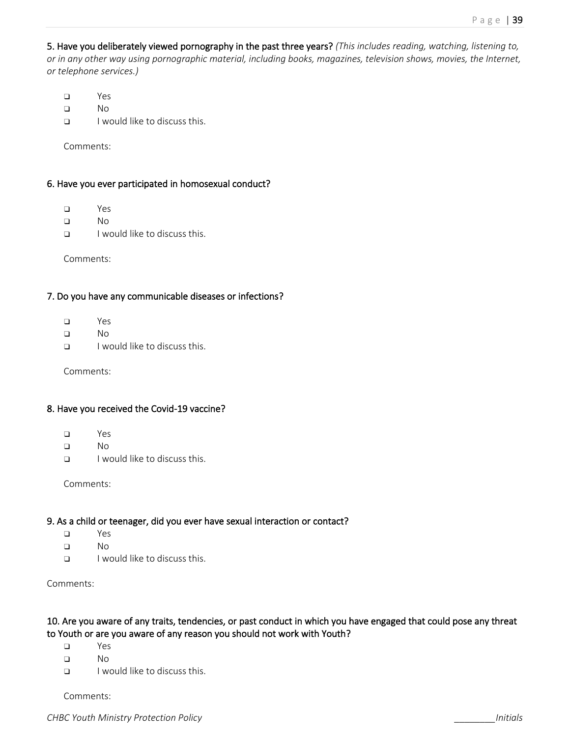5. Have you deliberately viewed pornography in the past three years? *(This includes reading, watching, listening to, or in any other way using pornographic material, including books, magazines, television shows, movies, the Internet, or telephone services.)*

- ❑ Yes
- ❑ No
- $\Box$  I would like to discuss this.

Comments:

#### 6. Have you ever participated in homosexual conduct?

- ❑ Yes
- ❑ No
- ❑ I would like to discuss this.

Comments:

#### 7. Do you have any communicable diseases or infections?

- ❑ Yes
- ❑ No
- ❑ I would like to discuss this.

Comments:

#### 8. Have you received the Covid-19 vaccine?

- ❑ Yes
- ❑ No
- ❑ I would like to discuss this.

Comments:

#### 9. As a child or teenager, did you ever have sexual interaction or contact?

- ❑ Yes
- ❑ No
- ❑ I would like to discuss this.

Comments:

#### 10. Are you aware of any traits, tendencies, or past conduct in which you have engaged that could pose any threat to Youth or are you aware of any reason you should not work with Youth?

- ❑ Yes
- ❑ No
- ❑ I would like to discuss this.

Comments: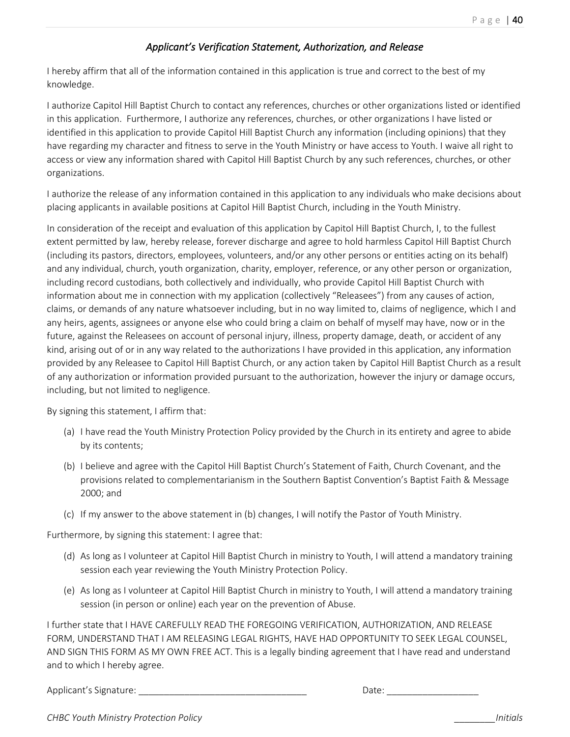### *Applicant's Verification Statement, Authorization, and Release*

I hereby affirm that all of the information contained in this application is true and correct to the best of my knowledge.

I authorize Capitol Hill Baptist Church to contact any references, churches or other organizations listed or identified in this application. Furthermore, I authorize any references, churches, or other organizations I have listed or identified in this application to provide Capitol Hill Baptist Church any information (including opinions) that they have regarding my character and fitness to serve in the Youth Ministry or have access to Youth. I waive all right to access or view any information shared with Capitol Hill Baptist Church by any such references, churches, or other organizations.

I authorize the release of any information contained in this application to any individuals who make decisions about placing applicants in available positions at Capitol Hill Baptist Church, including in the Youth Ministry.

In consideration of the receipt and evaluation of this application by Capitol Hill Baptist Church, I, to the fullest extent permitted by law, hereby release, forever discharge and agree to hold harmless Capitol Hill Baptist Church (including its pastors, directors, employees, volunteers, and/or any other persons or entities acting on its behalf) and any individual, church, youth organization, charity, employer, reference, or any other person or organization, including record custodians, both collectively and individually, who provide Capitol Hill Baptist Church with information about me in connection with my application (collectively "Releasees") from any causes of action, claims, or demands of any nature whatsoever including, but in no way limited to, claims of negligence, which I and any heirs, agents, assignees or anyone else who could bring a claim on behalf of myself may have, now or in the future, against the Releasees on account of personal injury, illness, property damage, death, or accident of any kind, arising out of or in any way related to the authorizations I have provided in this application, any information provided by any Releasee to Capitol Hill Baptist Church, or any action taken by Capitol Hill Baptist Church as a result of any authorization or information provided pursuant to the authorization, however the injury or damage occurs, including, but not limited to negligence.

By signing this statement, I affirm that:

- (a) I have read the Youth Ministry Protection Policy provided by the Church in its entirety and agree to abide by its contents;
- (b) I believe and agree with the Capitol Hill Baptist Church's Statement of Faith, Church Covenant, and the provisions related to complementarianism in the Southern Baptist Convention's Baptist Faith & Message 2000; and
- (c) If my answer to the above statement in (b) changes, I will notify the Pastor of Youth Ministry.

Furthermore, by signing this statement: I agree that:

- (d) As long as I volunteer at Capitol Hill Baptist Church in ministry to Youth, I will attend a mandatory training session each year reviewing the Youth Ministry Protection Policy.
- (e) As long as I volunteer at Capitol Hill Baptist Church in ministry to Youth, I will attend a mandatory training session (in person or online) each year on the prevention of Abuse.

I further state that I HAVE CAREFULLY READ THE FOREGOING VERIFICATION, AUTHORIZATION, AND RELEASE FORM, UNDERSTAND THAT I AM RELEASING LEGAL RIGHTS, HAVE HAD OPPORTUNITY TO SEEK LEGAL COUNSEL, AND SIGN THIS FORM AS MY OWN FREE ACT. This is a legally binding agreement that I have read and understand and to which I hereby agree.

Applicant's Signature:  $\Box$ 

*CHBC Youth Ministry Protection Policy \_\_\_\_\_\_\_\_Initials*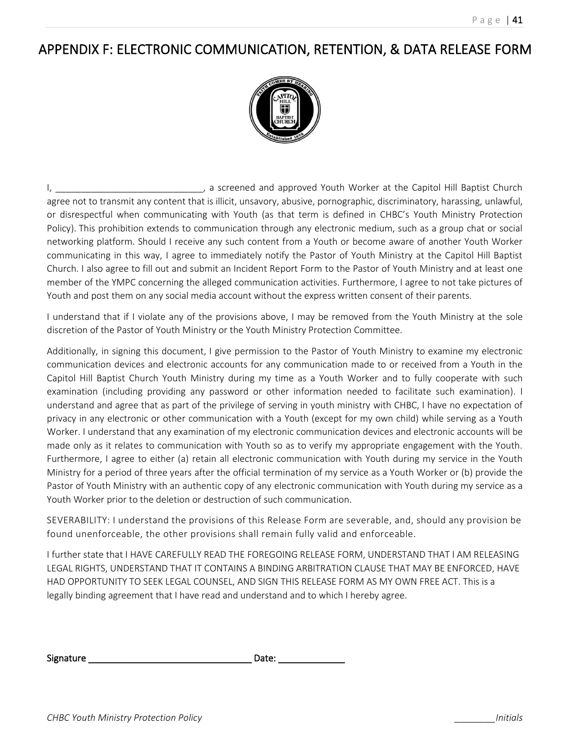### APPENDIX F: ELECTRONIC COMMUNICATION, RETENTION, & DATA RELEASE FORM



I, \_\_\_\_\_\_\_\_\_\_\_\_\_\_\_\_\_\_\_\_\_\_\_\_\_\_\_\_\_, a screened and approved Youth Worker at the Capitol Hill Baptist Church agree not to transmit any content that is illicit, unsavory, abusive, pornographic, discriminatory, harassing, unlawful, or disrespectful when communicating with Youth (as that term is defined in CHBC's Youth Ministry Protection Policy). This prohibition extends to communication through any electronic medium, such as a group chat or social networking platform. Should I receive any such content from a Youth or become aware of another Youth Worker communicating in this way, I agree to immediately notify the Pastor of Youth Ministry at the Capitol Hill Baptist Church. I also agree to fill out and submit an Incident Report Form to the Pastor of Youth Ministry and at least one member of the YMPC concerning the alleged communication activities. Furthermore, I agree to not take pictures of Youth and post them on any social media account without the express written consent of their parents.

I understand that if I violate any of the provisions above, I may be removed from the Youth Ministry at the sole discretion of the Pastor of Youth Ministry or the Youth Ministry Protection Committee.

Additionally, in signing this document, I give permission to the Pastor of Youth Ministry to examine my electronic communication devices and electronic accounts for any communication made to or received from a Youth in the Capitol Hill Baptist Church Youth Ministry during my time as a Youth Worker and to fully cooperate with such examination (including providing any password or other information needed to facilitate such examination). I understand and agree that as part of the privilege of serving in youth ministry with CHBC, I have no expectation of privacy in any electronic or other communication with a Youth (except for my own child) while serving as a Youth Worker. I understand that any examination of my electronic communication devices and electronic accounts will be made only as it relates to communication with Youth so as to verify my appropriate engagement with the Youth. Furthermore, I agree to either (a) retain all electronic communication with Youth during my service in the Youth Ministry for a period of three years after the official termination of my service as a Youth Worker or (b) provide the Pastor of Youth Ministry with an authentic copy of any electronic communication with Youth during my service as a Youth Worker prior to the deletion or destruction of such communication.

SEVERABILITY: I understand the provisions of this Release Form are severable, and, should any provision be found unenforceable, the other provisions shall remain fully valid and enforceable.

I further state that I HAVE CAREFULLY READ THE FOREGOING RELEASE FORM, UNDERSTAND THAT I AM RELEASING LEGAL RIGHTS, UNDERSTAND THAT IT CONTAINS A BINDING ARBITRATION CLAUSE THAT MAY BE ENFORCED, HAVE HAD OPPORTUNITY TO SEEK LEGAL COUNSEL, AND SIGN THIS RELEASE FORM AS MY OWN FREE ACT. This is a legally binding agreement that I have read and understand and to which I hereby agree.

| Signature | Date: |  |
|-----------|-------|--|
|           |       |  |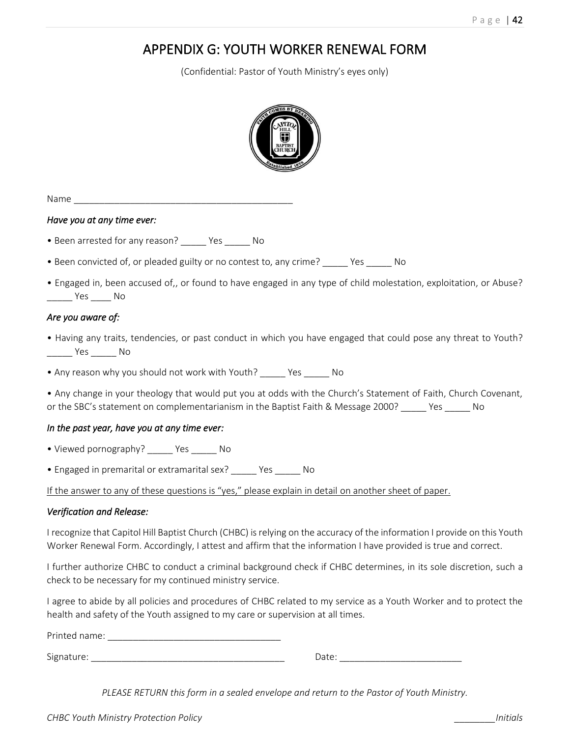### APPENDIX G: YOUTH WORKER RENEWAL FORM

(Confidential: Pastor of Youth Ministry's eyes only)



Name \_\_\_\_\_\_\_\_\_\_\_\_\_\_\_\_\_\_\_\_\_\_\_\_\_\_\_\_\_\_\_\_\_\_\_\_\_\_\_\_\_\_\_

#### *Have you at any time ever:*

- Been arrested for any reason? \_\_\_\_\_ Yes \_\_\_\_\_ No
- Been convicted of, or pleaded guilty or no contest to, any crime? \_\_\_\_\_ Yes \_\_\_\_\_ No
- Engaged in, been accused of,, or found to have engaged in any type of child molestation, exploitation, or Abuse? \_\_\_\_\_ Yes \_\_\_\_ No

#### *Are you aware of:*

• Having any traits, tendencies, or past conduct in which you have engaged that could pose any threat to Youth? \_\_\_\_\_ Yes \_\_\_\_\_ No

• Any reason why you should not work with Youth? \_\_\_\_\_ Yes \_\_\_\_\_ No

• Any change in your theology that would put you at odds with the Church's Statement of Faith, Church Covenant, or the SBC's statement on complementarianism in the Baptist Faith & Message 2000? \_\_\_\_\_ Yes \_\_\_\_\_ No

#### *In the past year, have you at any time ever:*

- Viewed pornography? \_\_\_\_\_ Yes \_\_\_\_\_ No
- Engaged in premarital or extramarital sex? \_\_\_\_\_ Yes \_\_\_\_\_ No

If the answer to any of these questions is "yes," please explain in detail on another sheet of paper.

#### *Verification and Release:*

I recognize that Capitol Hill Baptist Church (CHBC) is relying on the accuracy of the information I provide on this Youth Worker Renewal Form. Accordingly, I attest and affirm that the information I have provided is true and correct.

I further authorize CHBC to conduct a criminal background check if CHBC determines, in its sole discretion, such a check to be necessary for my continued ministry service.

I agree to abide by all policies and procedures of CHBC related to my service as a Youth Worker and to protect the health and safety of the Youth assigned to my care or supervision at all times.

Printed name:  $\blacksquare$ 

Signature: \_\_\_\_\_\_\_\_\_\_\_\_\_\_\_\_\_\_\_\_\_\_\_\_\_\_\_\_\_\_\_\_\_\_\_\_\_\_ Date: \_\_\_\_\_\_\_\_\_\_\_\_\_\_\_\_\_\_\_\_\_\_\_\_

*PLEASE RETURN this form in a sealed envelope and return to the Pastor of Youth Ministry.*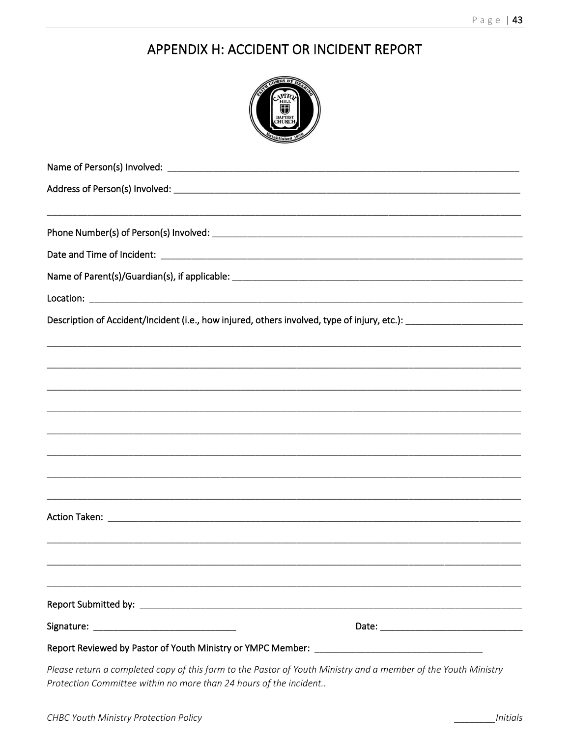### APPENDIX H: ACCIDENT OR INCIDENT REPORT

| <b>LES BY H</b><br><b>BAPTIST</b>                                                            |
|----------------------------------------------------------------------------------------------|
|                                                                                              |
|                                                                                              |
|                                                                                              |
|                                                                                              |
|                                                                                              |
|                                                                                              |
| Description of Accident/Incident (i.e., how injured, others involved, type of injury, etc.): |
|                                                                                              |
| ,一个人的人都是不是一个人的人,我们也不是一个人的人,我们也不是一个人的人,我们也不是一个人的人,我们也不是一个人的人,我们也不是一个人的人,我们也不是一个人的             |
|                                                                                              |
|                                                                                              |
|                                                                                              |
| ,我们也不能在这里的时候,我们也不能在这里的时候,我们也不能会在这里,我们也不能会在这里的时候,我们也不能会在这里的时候,我们也不能会在这里的时候,我们也不能会             |
|                                                                                              |
|                                                                                              |
|                                                                                              |
|                                                                                              |
|                                                                                              |
| ,我们就是一个人的人,我们就是一个人的人,我们就是一个人的人,我们就是一个人的人,我们就是一个人的人,我们就是一个人的人,我们就是一个人的人,我们就是一个人的人             |
|                                                                                              |
|                                                                                              |
|                                                                                              |

Please return a completed copy of this form to the Pastor of Youth Ministry and a member of the Youth Ministry Protection Committee within no more than 24 hours of the incident..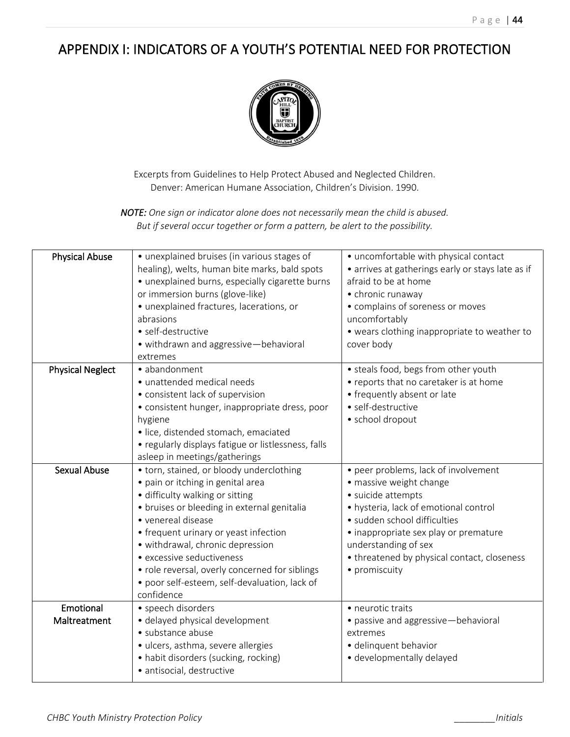### APPENDIX I: INDICATORS OF A YOUTH'S POTENTIAL NEED FOR PROTECTION



Excerpts from Guidelines to Help Protect Abused and Neglected Children. Denver: American Humane Association, Children's Division. 1990.

*NOTE: One sign or indicator alone does not necessarily mean the child is abused. But if several occur together or form a pattern, be alert to the possibility.*

| <b>Physical Abuse</b>     | • unexplained bruises (in various stages of<br>healing), welts, human bite marks, bald spots<br>· unexplained burns, especially cigarette burns<br>or immersion burns (glove-like)<br>· unexplained fractures, lacerations, or<br>abrasions<br>· self-destructive<br>· withdrawn and aggressive-behavioral<br>extremes                                                                                           | • uncomfortable with physical contact<br>• arrives at gatherings early or stays late as if<br>afraid to be at home<br>• chronic runaway<br>• complains of soreness or moves<br>uncomfortably<br>• wears clothing inappropriate to weather to<br>cover body                                      |
|---------------------------|------------------------------------------------------------------------------------------------------------------------------------------------------------------------------------------------------------------------------------------------------------------------------------------------------------------------------------------------------------------------------------------------------------------|-------------------------------------------------------------------------------------------------------------------------------------------------------------------------------------------------------------------------------------------------------------------------------------------------|
| <b>Physical Neglect</b>   | • abandonment<br>· unattended medical needs<br>• consistent lack of supervision<br>• consistent hunger, inappropriate dress, poor<br>hygiene<br>· lice, distended stomach, emaciated<br>• regularly displays fatigue or listlessness, falls<br>asleep in meetings/gatherings                                                                                                                                     | • steals food, begs from other youth<br>• reports that no caretaker is at home<br>• frequently absent or late<br>• self-destructive<br>· school dropout                                                                                                                                         |
| <b>Sexual Abuse</b>       | • torn, stained, or bloody underclothing<br>• pain or itching in genital area<br>· difficulty walking or sitting<br>• bruises or bleeding in external genitalia<br>• venereal disease<br>• frequent urinary or yeast infection<br>· withdrawal, chronic depression<br>• excessive seductiveness<br>• role reversal, overly concerned for siblings<br>· poor self-esteem, self-devaluation, lack of<br>confidence | • peer problems, lack of involvement<br>· massive weight change<br>· suicide attempts<br>• hysteria, lack of emotional control<br>· sudden school difficulties<br>• inappropriate sex play or premature<br>understanding of sex<br>• threatened by physical contact, closeness<br>• promiscuity |
| Emotional<br>Maltreatment | • speech disorders<br>· delayed physical development<br>· substance abuse<br>· ulcers, asthma, severe allergies<br>• habit disorders (sucking, rocking)<br>· antisocial, destructive                                                                                                                                                                                                                             | • neurotic traits<br>• passive and aggressive-behavioral<br>extremes<br>· delinquent behavior<br>· developmentally delayed                                                                                                                                                                      |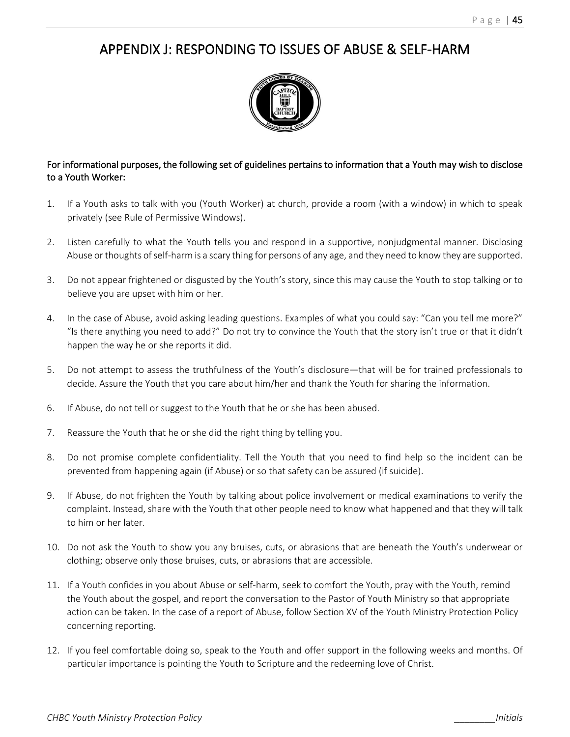### APPENDIX J: RESPONDING TO ISSUES OF ABUSE & SELF-HARM



### For informational purposes, the following set of guidelines pertains to information that a Youth may wish to disclose to a Youth Worker:

- 1. If a Youth asks to talk with you (Youth Worker) at church, provide a room (with a window) in which to speak privately (see Rule of Permissive Windows).
- 2. Listen carefully to what the Youth tells you and respond in a supportive, nonjudgmental manner. Disclosing Abuse or thoughts of self-harm is a scary thing for persons of any age, and they need to know they are supported.
- 3. Do not appear frightened or disgusted by the Youth's story, since this may cause the Youth to stop talking or to believe you are upset with him or her.
- 4. In the case of Abuse, avoid asking leading questions. Examples of what you could say: "Can you tell me more?" "Is there anything you need to add?" Do not try to convince the Youth that the story isn't true or that it didn't happen the way he or she reports it did.
- 5. Do not attempt to assess the truthfulness of the Youth's disclosure—that will be for trained professionals to decide. Assure the Youth that you care about him/her and thank the Youth for sharing the information.
- 6. If Abuse, do not tell or suggest to the Youth that he or she has been abused.
- 7. Reassure the Youth that he or she did the right thing by telling you.
- 8. Do not promise complete confidentiality. Tell the Youth that you need to find help so the incident can be prevented from happening again (if Abuse) or so that safety can be assured (if suicide).
- 9. If Abuse, do not frighten the Youth by talking about police involvement or medical examinations to verify the complaint. Instead, share with the Youth that other people need to know what happened and that they will talk to him or her later.
- 10. Do not ask the Youth to show you any bruises, cuts, or abrasions that are beneath the Youth's underwear or clothing; observe only those bruises, cuts, or abrasions that are accessible.
- 11. If a Youth confides in you about Abuse or self-harm, seek to comfort the Youth, pray with the Youth, remind the Youth about the gospel, and report the conversation to the Pastor of Youth Ministry so that appropriate action can be taken. In the case of a report of Abuse, follow Section XV of the Youth Ministry Protection Policy concerning reporting.
- 12. If you feel comfortable doing so, speak to the Youth and offer support in the following weeks and months. Of particular importance is pointing the Youth to Scripture and the redeeming love of Christ.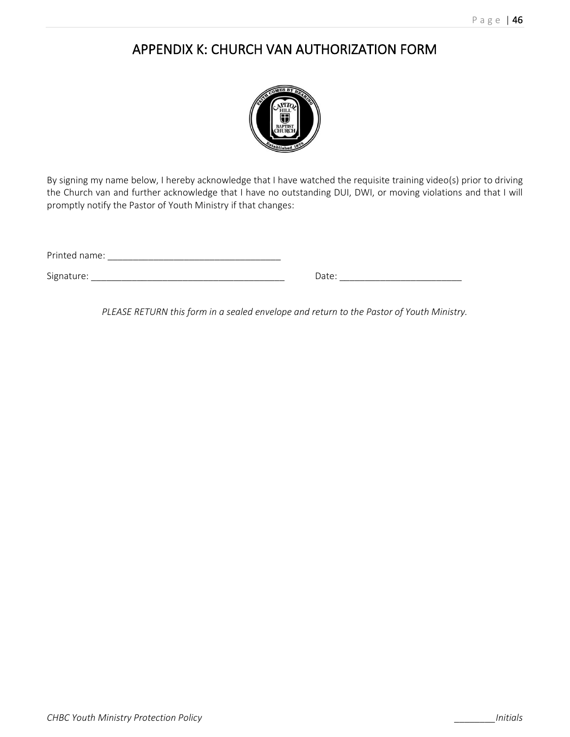### APPENDIX K: CHURCH VAN AUTHORIZATION FORM



By signing my name below, I hereby acknowledge that I have watched the requisite training video(s) prior to driving the Church van and further acknowledge that I have no outstanding DUI, DWI, or moving violations and that I will promptly notify the Pastor of Youth Ministry if that changes:

Signature: \_\_\_\_\_\_\_\_\_\_\_\_\_\_\_\_\_\_\_\_\_\_\_\_\_\_\_\_\_\_\_\_\_\_\_\_\_\_ Date: \_\_\_\_\_\_\_\_\_\_\_\_\_\_\_\_\_\_\_\_\_\_\_\_

| )atr<br>- |
|-----------|
|           |

*PLEASE RETURN this form in a sealed envelope and return to the Pastor of Youth Ministry.*